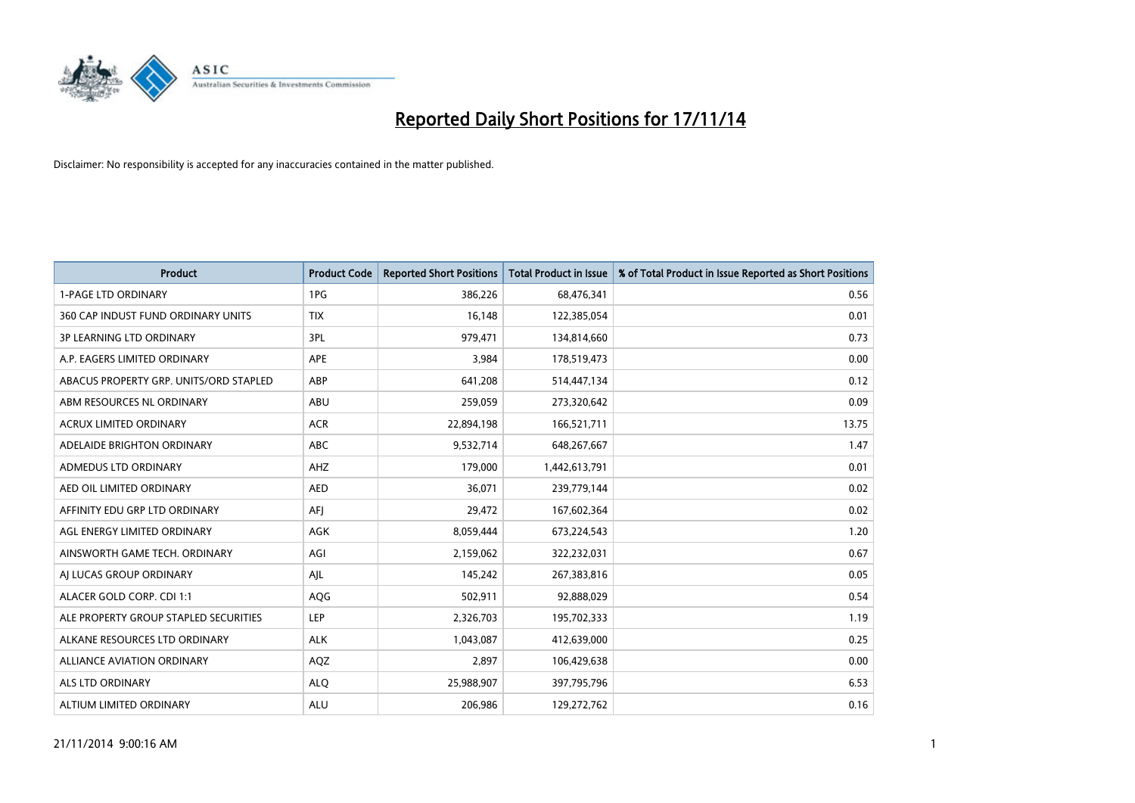

| Product                                | <b>Product Code</b> | <b>Reported Short Positions</b> | <b>Total Product in Issue</b> | % of Total Product in Issue Reported as Short Positions |
|----------------------------------------|---------------------|---------------------------------|-------------------------------|---------------------------------------------------------|
| <b>1-PAGE LTD ORDINARY</b>             | 1PG                 | 386,226                         | 68,476,341                    | 0.56                                                    |
| 360 CAP INDUST FUND ORDINARY UNITS     | <b>TIX</b>          | 16,148                          | 122,385,054                   | 0.01                                                    |
| <b>3P LEARNING LTD ORDINARY</b>        | 3PL                 | 979,471                         | 134,814,660                   | 0.73                                                    |
| A.P. EAGERS LIMITED ORDINARY           | <b>APE</b>          | 3,984                           | 178,519,473                   | 0.00                                                    |
| ABACUS PROPERTY GRP. UNITS/ORD STAPLED | ABP                 | 641,208                         | 514,447,134                   | 0.12                                                    |
| ABM RESOURCES NL ORDINARY              | <b>ABU</b>          | 259,059                         | 273,320,642                   | 0.09                                                    |
| <b>ACRUX LIMITED ORDINARY</b>          | <b>ACR</b>          | 22,894,198                      | 166,521,711                   | 13.75                                                   |
| ADELAIDE BRIGHTON ORDINARY             | <b>ABC</b>          | 9,532,714                       | 648,267,667                   | 1.47                                                    |
| ADMEDUS LTD ORDINARY                   | AHZ                 | 179,000                         | 1,442,613,791                 | 0.01                                                    |
| AED OIL LIMITED ORDINARY               | <b>AED</b>          | 36,071                          | 239,779,144                   | 0.02                                                    |
| AFFINITY EDU GRP LTD ORDINARY          | AFI                 | 29,472                          | 167,602,364                   | 0.02                                                    |
| AGL ENERGY LIMITED ORDINARY            | AGK                 | 8,059,444                       | 673,224,543                   | 1.20                                                    |
| AINSWORTH GAME TECH. ORDINARY          | AGI                 | 2,159,062                       | 322,232,031                   | 0.67                                                    |
| AI LUCAS GROUP ORDINARY                | AJL                 | 145,242                         | 267,383,816                   | 0.05                                                    |
| ALACER GOLD CORP. CDI 1:1              | AQG                 | 502,911                         | 92,888,029                    | 0.54                                                    |
| ALE PROPERTY GROUP STAPLED SECURITIES  | LEP                 | 2,326,703                       | 195,702,333                   | 1.19                                                    |
| ALKANE RESOURCES LTD ORDINARY          | <b>ALK</b>          | 1,043,087                       | 412,639,000                   | 0.25                                                    |
| ALLIANCE AVIATION ORDINARY             | AQZ                 | 2,897                           | 106,429,638                   | 0.00                                                    |
| ALS LTD ORDINARY                       | <b>ALO</b>          | 25,988,907                      | 397,795,796                   | 6.53                                                    |
| ALTIUM LIMITED ORDINARY                | <b>ALU</b>          | 206,986                         | 129,272,762                   | 0.16                                                    |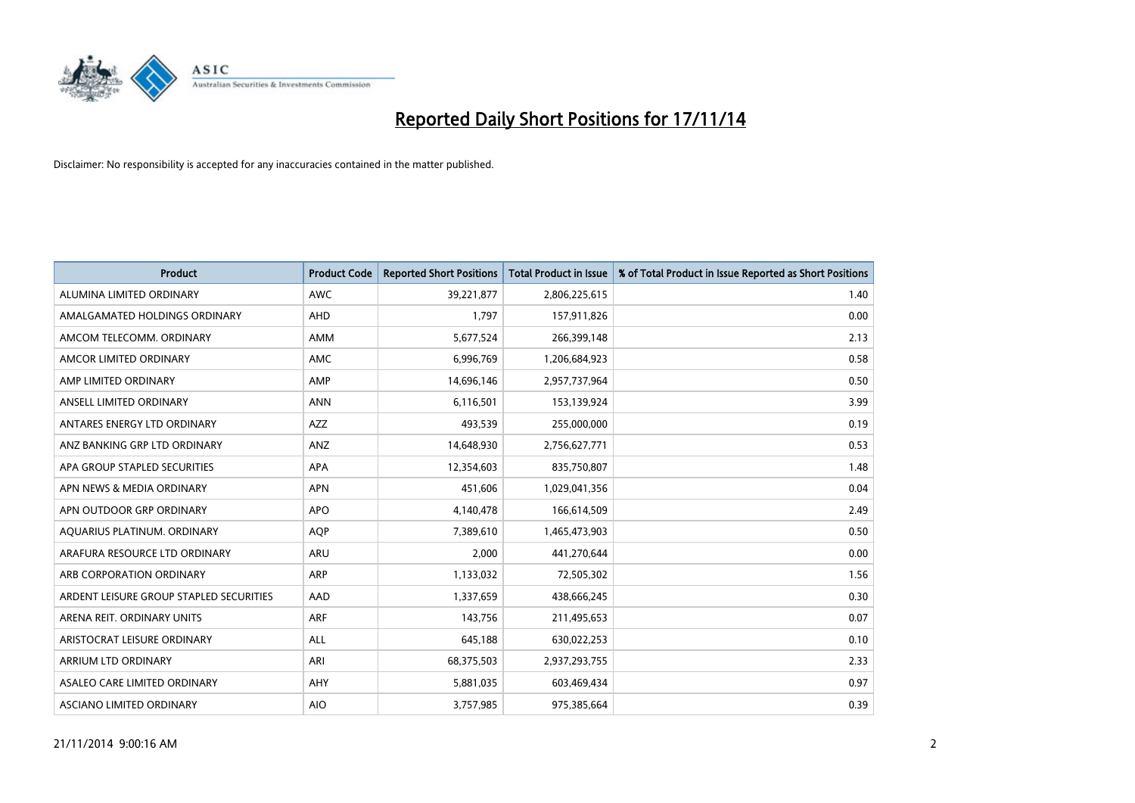

| <b>Product</b>                          | <b>Product Code</b> | <b>Reported Short Positions</b> | <b>Total Product in Issue</b> | % of Total Product in Issue Reported as Short Positions |
|-----------------------------------------|---------------------|---------------------------------|-------------------------------|---------------------------------------------------------|
| ALUMINA LIMITED ORDINARY                | <b>AWC</b>          | 39,221,877                      | 2,806,225,615                 | 1.40                                                    |
| AMALGAMATED HOLDINGS ORDINARY           | <b>AHD</b>          | 1,797                           | 157,911,826                   | 0.00                                                    |
| AMCOM TELECOMM. ORDINARY                | AMM                 | 5,677,524                       | 266,399,148                   | 2.13                                                    |
| AMCOR LIMITED ORDINARY                  | AMC                 | 6,996,769                       | 1,206,684,923                 | 0.58                                                    |
| AMP LIMITED ORDINARY                    | AMP                 | 14,696,146                      | 2,957,737,964                 | 0.50                                                    |
| ANSELL LIMITED ORDINARY                 | <b>ANN</b>          | 6,116,501                       | 153,139,924                   | 3.99                                                    |
| ANTARES ENERGY LTD ORDINARY             | AZZ                 | 493,539                         | 255,000,000                   | 0.19                                                    |
| ANZ BANKING GRP LTD ORDINARY            | ANZ                 | 14,648,930                      | 2,756,627,771                 | 0.53                                                    |
| APA GROUP STAPLED SECURITIES            | <b>APA</b>          | 12,354,603                      | 835,750,807                   | 1.48                                                    |
| APN NEWS & MEDIA ORDINARY               | <b>APN</b>          | 451,606                         | 1,029,041,356                 | 0.04                                                    |
| APN OUTDOOR GRP ORDINARY                | <b>APO</b>          | 4,140,478                       | 166,614,509                   | 2.49                                                    |
| AQUARIUS PLATINUM. ORDINARY             | <b>AOP</b>          | 7,389,610                       | 1,465,473,903                 | 0.50                                                    |
| ARAFURA RESOURCE LTD ORDINARY           | <b>ARU</b>          | 2,000                           | 441,270,644                   | 0.00                                                    |
| ARB CORPORATION ORDINARY                | <b>ARP</b>          | 1,133,032                       | 72,505,302                    | 1.56                                                    |
| ARDENT LEISURE GROUP STAPLED SECURITIES | AAD                 | 1,337,659                       | 438,666,245                   | 0.30                                                    |
| ARENA REIT. ORDINARY UNITS              | <b>ARF</b>          | 143,756                         | 211,495,653                   | 0.07                                                    |
| ARISTOCRAT LEISURE ORDINARY             | ALL                 | 645,188                         | 630,022,253                   | 0.10                                                    |
| ARRIUM LTD ORDINARY                     | ARI                 | 68,375,503                      | 2,937,293,755                 | 2.33                                                    |
| ASALEO CARE LIMITED ORDINARY            | AHY                 | 5,881,035                       | 603,469,434                   | 0.97                                                    |
| ASCIANO LIMITED ORDINARY                | <b>AIO</b>          | 3,757,985                       | 975,385,664                   | 0.39                                                    |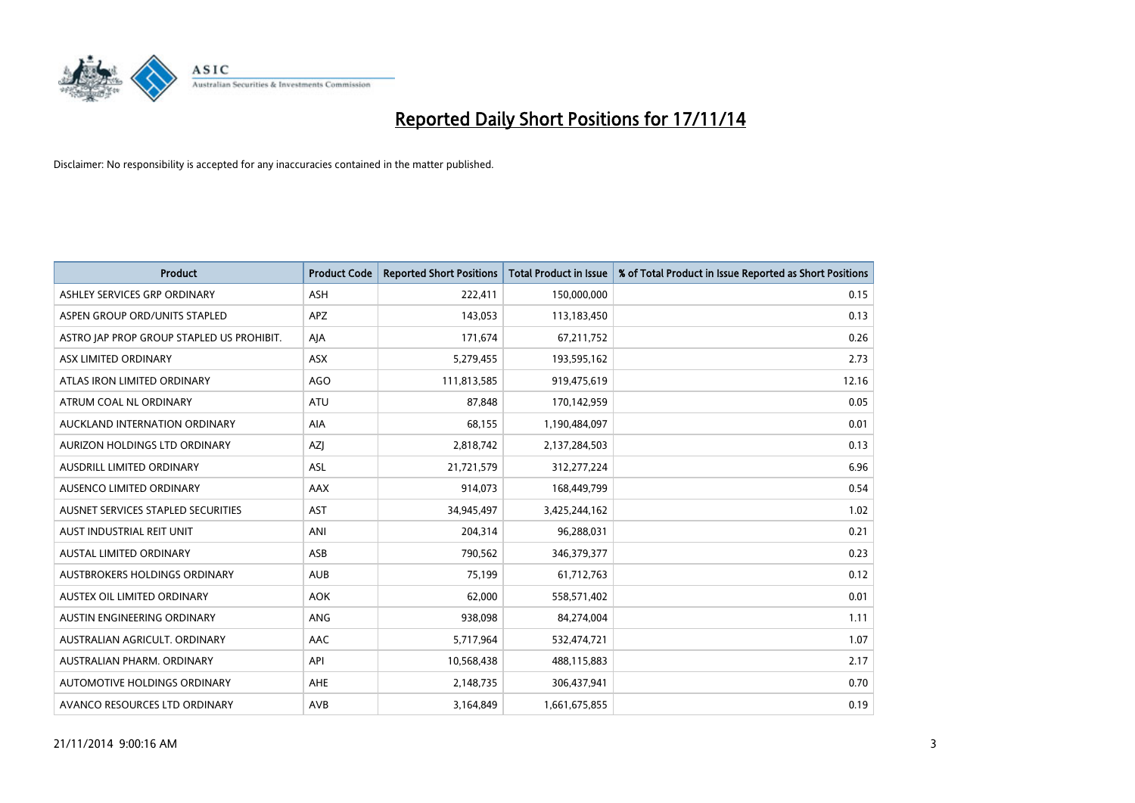

| <b>Product</b>                            | <b>Product Code</b> | <b>Reported Short Positions</b> | <b>Total Product in Issue</b> | % of Total Product in Issue Reported as Short Positions |
|-------------------------------------------|---------------------|---------------------------------|-------------------------------|---------------------------------------------------------|
| ASHLEY SERVICES GRP ORDINARY              | <b>ASH</b>          | 222,411                         | 150,000,000                   | 0.15                                                    |
| ASPEN GROUP ORD/UNITS STAPLED             | APZ                 | 143,053                         | 113,183,450                   | 0.13                                                    |
| ASTRO JAP PROP GROUP STAPLED US PROHIBIT. | AJA                 | 171,674                         | 67,211,752                    | 0.26                                                    |
| ASX LIMITED ORDINARY                      | ASX                 | 5,279,455                       | 193,595,162                   | 2.73                                                    |
| ATLAS IRON LIMITED ORDINARY               | <b>AGO</b>          | 111,813,585                     | 919,475,619                   | 12.16                                                   |
| ATRUM COAL NL ORDINARY                    | ATU                 | 87,848                          | 170,142,959                   | 0.05                                                    |
| AUCKLAND INTERNATION ORDINARY             | AIA                 | 68,155                          | 1,190,484,097                 | 0.01                                                    |
| AURIZON HOLDINGS LTD ORDINARY             | AZJ                 | 2,818,742                       | 2,137,284,503                 | 0.13                                                    |
| AUSDRILL LIMITED ORDINARY                 | <b>ASL</b>          | 21,721,579                      | 312,277,224                   | 6.96                                                    |
| AUSENCO LIMITED ORDINARY                  | AAX                 | 914,073                         | 168,449,799                   | 0.54                                                    |
| AUSNET SERVICES STAPLED SECURITIES        | <b>AST</b>          | 34,945,497                      | 3,425,244,162                 | 1.02                                                    |
| AUST INDUSTRIAL REIT UNIT                 | ANI                 | 204,314                         | 96,288,031                    | 0.21                                                    |
| AUSTAL LIMITED ORDINARY                   | ASB                 | 790,562                         | 346,379,377                   | 0.23                                                    |
| AUSTBROKERS HOLDINGS ORDINARY             | <b>AUB</b>          | 75,199                          | 61,712,763                    | 0.12                                                    |
| AUSTEX OIL LIMITED ORDINARY               | <b>AOK</b>          | 62,000                          | 558,571,402                   | 0.01                                                    |
| AUSTIN ENGINEERING ORDINARY               | ANG                 | 938,098                         | 84,274,004                    | 1.11                                                    |
| AUSTRALIAN AGRICULT. ORDINARY             | AAC                 | 5,717,964                       | 532,474,721                   | 1.07                                                    |
| AUSTRALIAN PHARM. ORDINARY                | API                 | 10,568,438                      | 488,115,883                   | 2.17                                                    |
| AUTOMOTIVE HOLDINGS ORDINARY              | AHE                 | 2,148,735                       | 306,437,941                   | 0.70                                                    |
| AVANCO RESOURCES LTD ORDINARY             | AVB                 | 3,164,849                       | 1,661,675,855                 | 0.19                                                    |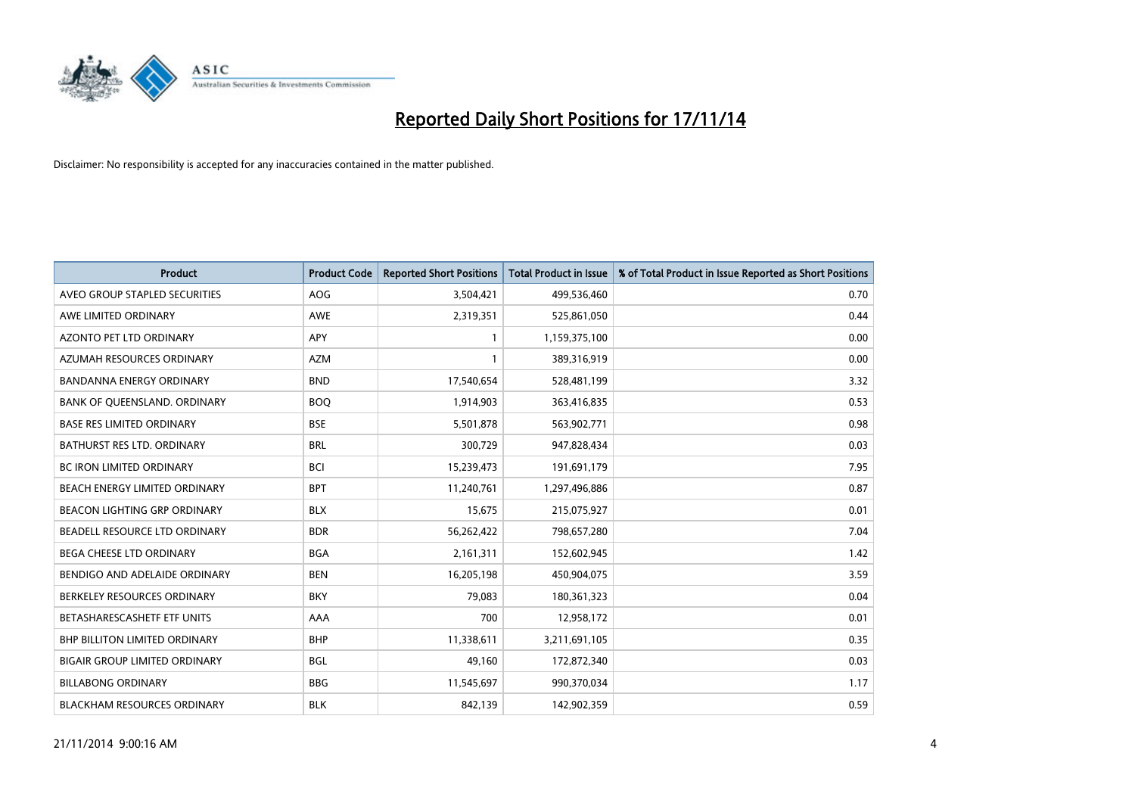

| <b>Product</b>                       | <b>Product Code</b> | <b>Reported Short Positions</b> | <b>Total Product in Issue</b> | % of Total Product in Issue Reported as Short Positions |
|--------------------------------------|---------------------|---------------------------------|-------------------------------|---------------------------------------------------------|
| AVEO GROUP STAPLED SECURITIES        | <b>AOG</b>          | 3,504,421                       | 499,536,460                   | 0.70                                                    |
| AWE LIMITED ORDINARY                 | AWE                 | 2,319,351                       | 525,861,050                   | 0.44                                                    |
| AZONTO PET LTD ORDINARY              | APY                 | $\mathbf{1}$                    | 1,159,375,100                 | 0.00                                                    |
| AZUMAH RESOURCES ORDINARY            | AZM                 | $\mathbf{1}$                    | 389,316,919                   | 0.00                                                    |
| <b>BANDANNA ENERGY ORDINARY</b>      | <b>BND</b>          | 17,540,654                      | 528,481,199                   | 3.32                                                    |
| BANK OF QUEENSLAND. ORDINARY         | <b>BOQ</b>          | 1,914,903                       | 363,416,835                   | 0.53                                                    |
| <b>BASE RES LIMITED ORDINARY</b>     | <b>BSE</b>          | 5,501,878                       | 563,902,771                   | 0.98                                                    |
| <b>BATHURST RES LTD. ORDINARY</b>    | <b>BRL</b>          | 300,729                         | 947,828,434                   | 0.03                                                    |
| BC IRON LIMITED ORDINARY             | <b>BCI</b>          | 15,239,473                      | 191,691,179                   | 7.95                                                    |
| BEACH ENERGY LIMITED ORDINARY        | <b>BPT</b>          | 11,240,761                      | 1,297,496,886                 | 0.87                                                    |
| <b>BEACON LIGHTING GRP ORDINARY</b>  | <b>BLX</b>          | 15,675                          | 215,075,927                   | 0.01                                                    |
| BEADELL RESOURCE LTD ORDINARY        | <b>BDR</b>          | 56,262,422                      | 798,657,280                   | 7.04                                                    |
| BEGA CHEESE LTD ORDINARY             | <b>BGA</b>          | 2,161,311                       | 152,602,945                   | 1.42                                                    |
| BENDIGO AND ADELAIDE ORDINARY        | <b>BEN</b>          | 16,205,198                      | 450,904,075                   | 3.59                                                    |
| BERKELEY RESOURCES ORDINARY          | <b>BKY</b>          | 79,083                          | 180,361,323                   | 0.04                                                    |
| BETASHARESCASHETF ETF UNITS          | AAA                 | 700                             | 12,958,172                    | 0.01                                                    |
| <b>BHP BILLITON LIMITED ORDINARY</b> | <b>BHP</b>          | 11,338,611                      | 3,211,691,105                 | 0.35                                                    |
| <b>BIGAIR GROUP LIMITED ORDINARY</b> | <b>BGL</b>          | 49,160                          | 172,872,340                   | 0.03                                                    |
| <b>BILLABONG ORDINARY</b>            | <b>BBG</b>          | 11,545,697                      | 990,370,034                   | 1.17                                                    |
| <b>BLACKHAM RESOURCES ORDINARY</b>   | <b>BLK</b>          | 842,139                         | 142,902,359                   | 0.59                                                    |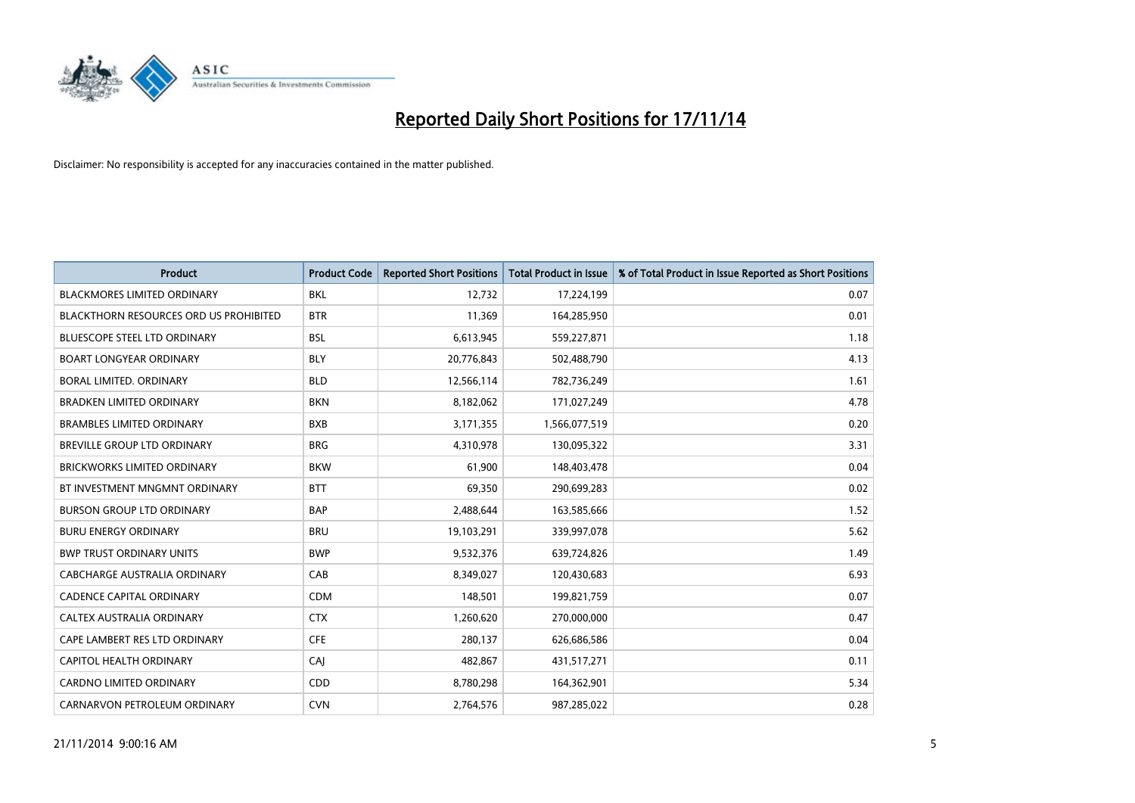

| <b>Product</b>                         | <b>Product Code</b> | <b>Reported Short Positions</b> | <b>Total Product in Issue</b> | % of Total Product in Issue Reported as Short Positions |
|----------------------------------------|---------------------|---------------------------------|-------------------------------|---------------------------------------------------------|
| <b>BLACKMORES LIMITED ORDINARY</b>     | <b>BKL</b>          | 12,732                          | 17,224,199                    | 0.07                                                    |
| BLACKTHORN RESOURCES ORD US PROHIBITED | <b>BTR</b>          | 11,369                          | 164,285,950                   | 0.01                                                    |
| <b>BLUESCOPE STEEL LTD ORDINARY</b>    | <b>BSL</b>          | 6,613,945                       | 559,227,871                   | 1.18                                                    |
| <b>BOART LONGYEAR ORDINARY</b>         | <b>BLY</b>          | 20,776,843                      | 502,488,790                   | 4.13                                                    |
| <b>BORAL LIMITED, ORDINARY</b>         | <b>BLD</b>          | 12,566,114                      | 782,736,249                   | 1.61                                                    |
| <b>BRADKEN LIMITED ORDINARY</b>        | <b>BKN</b>          | 8,182,062                       | 171,027,249                   | 4.78                                                    |
| <b>BRAMBLES LIMITED ORDINARY</b>       | <b>BXB</b>          | 3,171,355                       | 1,566,077,519                 | 0.20                                                    |
| <b>BREVILLE GROUP LTD ORDINARY</b>     | <b>BRG</b>          | 4,310,978                       | 130,095,322                   | 3.31                                                    |
| <b>BRICKWORKS LIMITED ORDINARY</b>     | <b>BKW</b>          | 61,900                          | 148,403,478                   | 0.04                                                    |
| BT INVESTMENT MNGMNT ORDINARY          | <b>BTT</b>          | 69,350                          | 290,699,283                   | 0.02                                                    |
| <b>BURSON GROUP LTD ORDINARY</b>       | <b>BAP</b>          | 2,488,644                       | 163,585,666                   | 1.52                                                    |
| <b>BURU ENERGY ORDINARY</b>            | <b>BRU</b>          | 19,103,291                      | 339,997,078                   | 5.62                                                    |
| <b>BWP TRUST ORDINARY UNITS</b>        | <b>BWP</b>          | 9,532,376                       | 639,724,826                   | 1.49                                                    |
| <b>CABCHARGE AUSTRALIA ORDINARY</b>    | CAB                 | 8,349,027                       | 120,430,683                   | 6.93                                                    |
| <b>CADENCE CAPITAL ORDINARY</b>        | <b>CDM</b>          | 148,501                         | 199,821,759                   | 0.07                                                    |
| CALTEX AUSTRALIA ORDINARY              | <b>CTX</b>          | 1,260,620                       | 270,000,000                   | 0.47                                                    |
| CAPE LAMBERT RES LTD ORDINARY          | <b>CFE</b>          | 280,137                         | 626,686,586                   | 0.04                                                    |
| CAPITOL HEALTH ORDINARY                | CAJ                 | 482,867                         | 431,517,271                   | 0.11                                                    |
| CARDNO LIMITED ORDINARY                | CDD                 | 8,780,298                       | 164,362,901                   | 5.34                                                    |
| CARNARVON PETROLEUM ORDINARY           | <b>CVN</b>          | 2,764,576                       | 987,285,022                   | 0.28                                                    |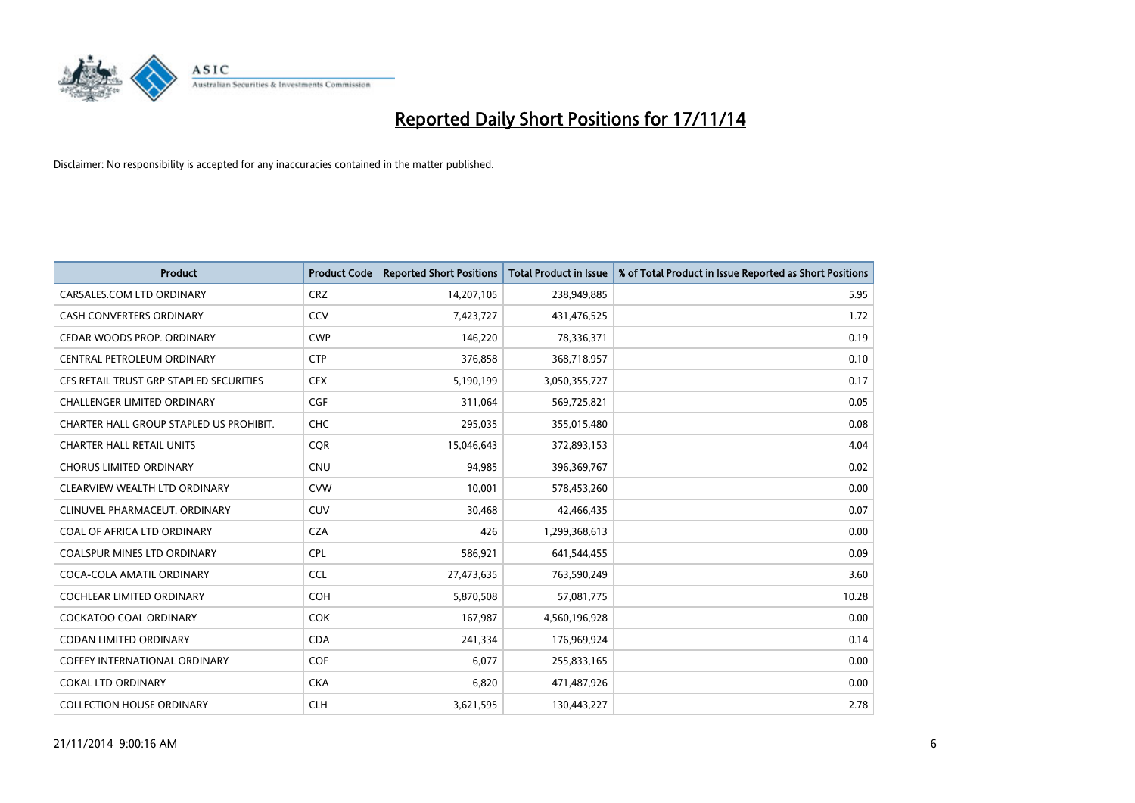

| Product                                 | <b>Product Code</b> | <b>Reported Short Positions</b> | <b>Total Product in Issue</b> | % of Total Product in Issue Reported as Short Positions |
|-----------------------------------------|---------------------|---------------------------------|-------------------------------|---------------------------------------------------------|
| CARSALES.COM LTD ORDINARY               | <b>CRZ</b>          | 14,207,105                      | 238,949,885                   | 5.95                                                    |
| CASH CONVERTERS ORDINARY                | CCV                 | 7,423,727                       | 431,476,525                   | 1.72                                                    |
| CEDAR WOODS PROP. ORDINARY              | <b>CWP</b>          | 146,220                         | 78,336,371                    | 0.19                                                    |
| CENTRAL PETROLEUM ORDINARY              | <b>CTP</b>          | 376,858                         | 368,718,957                   | 0.10                                                    |
| CFS RETAIL TRUST GRP STAPLED SECURITIES | <b>CFX</b>          | 5,190,199                       | 3,050,355,727                 | 0.17                                                    |
| <b>CHALLENGER LIMITED ORDINARY</b>      | <b>CGF</b>          | 311,064                         | 569,725,821                   | 0.05                                                    |
| CHARTER HALL GROUP STAPLED US PROHIBIT. | <b>CHC</b>          | 295,035                         | 355,015,480                   | 0.08                                                    |
| <b>CHARTER HALL RETAIL UNITS</b>        | <b>COR</b>          | 15,046,643                      | 372,893,153                   | 4.04                                                    |
| <b>CHORUS LIMITED ORDINARY</b>          | <b>CNU</b>          | 94,985                          | 396,369,767                   | 0.02                                                    |
| CLEARVIEW WEALTH LTD ORDINARY           | <b>CVW</b>          | 10,001                          | 578,453,260                   | 0.00                                                    |
| CLINUVEL PHARMACEUT. ORDINARY           | <b>CUV</b>          | 30,468                          | 42,466,435                    | 0.07                                                    |
| COAL OF AFRICA LTD ORDINARY             | <b>CZA</b>          | 426                             | 1,299,368,613                 | 0.00                                                    |
| COALSPUR MINES LTD ORDINARY             | <b>CPL</b>          | 586,921                         | 641,544,455                   | 0.09                                                    |
| COCA-COLA AMATIL ORDINARY               | <b>CCL</b>          | 27,473,635                      | 763,590,249                   | 3.60                                                    |
| <b>COCHLEAR LIMITED ORDINARY</b>        | COH                 | 5,870,508                       | 57,081,775                    | 10.28                                                   |
| COCKATOO COAL ORDINARY                  | <b>COK</b>          | 167,987                         | 4,560,196,928                 | 0.00                                                    |
| CODAN LIMITED ORDINARY                  | <b>CDA</b>          | 241,334                         | 176,969,924                   | 0.14                                                    |
| <b>COFFEY INTERNATIONAL ORDINARY</b>    | <b>COF</b>          | 6,077                           | 255,833,165                   | 0.00                                                    |
| <b>COKAL LTD ORDINARY</b>               | <b>CKA</b>          | 6,820                           | 471,487,926                   | 0.00                                                    |
| <b>COLLECTION HOUSE ORDINARY</b>        | <b>CLH</b>          | 3,621,595                       | 130,443,227                   | 2.78                                                    |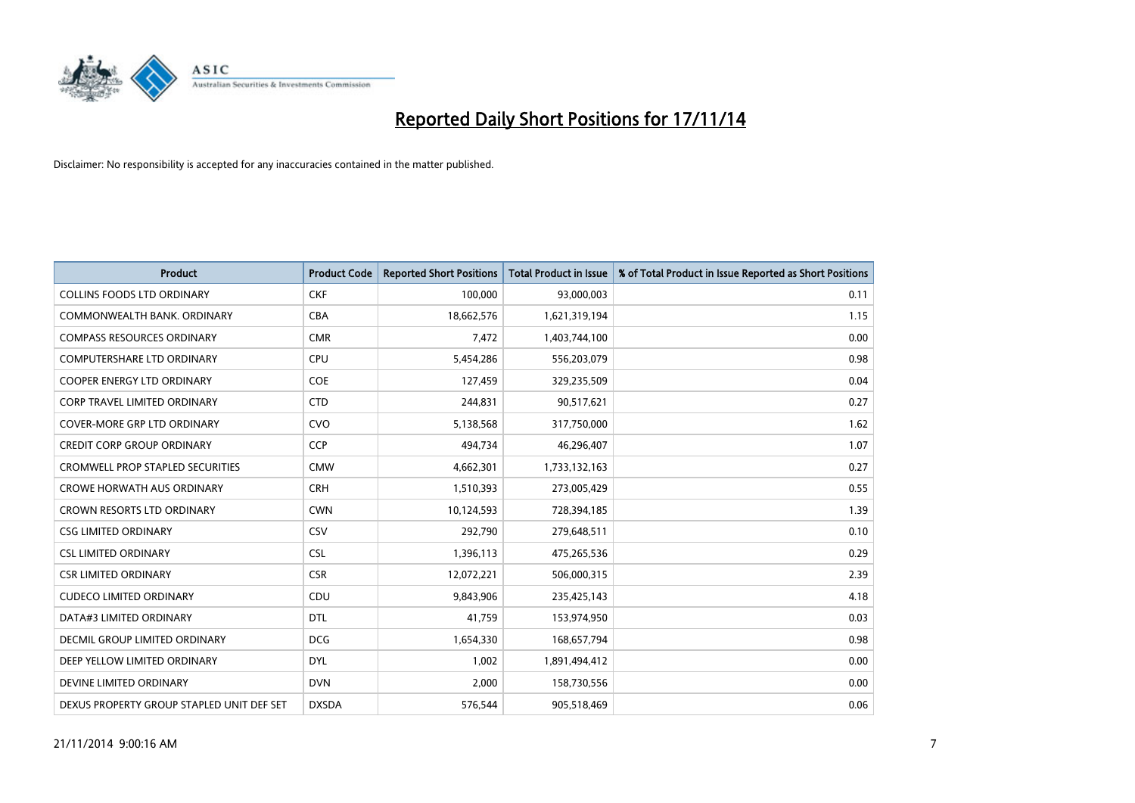

| <b>Product</b>                            | <b>Product Code</b> | <b>Reported Short Positions</b> | <b>Total Product in Issue</b> | % of Total Product in Issue Reported as Short Positions |
|-------------------------------------------|---------------------|---------------------------------|-------------------------------|---------------------------------------------------------|
| <b>COLLINS FOODS LTD ORDINARY</b>         | <b>CKF</b>          | 100,000                         | 93,000,003                    | 0.11                                                    |
| COMMONWEALTH BANK, ORDINARY               | <b>CBA</b>          | 18,662,576                      | 1,621,319,194                 | 1.15                                                    |
| <b>COMPASS RESOURCES ORDINARY</b>         | <b>CMR</b>          | 7,472                           | 1,403,744,100                 | 0.00                                                    |
| COMPUTERSHARE LTD ORDINARY                | <b>CPU</b>          | 5,454,286                       | 556,203,079                   | 0.98                                                    |
| <b>COOPER ENERGY LTD ORDINARY</b>         | <b>COE</b>          | 127,459                         | 329,235,509                   | 0.04                                                    |
| <b>CORP TRAVEL LIMITED ORDINARY</b>       | <b>CTD</b>          | 244,831                         | 90,517,621                    | 0.27                                                    |
| <b>COVER-MORE GRP LTD ORDINARY</b>        | <b>CVO</b>          | 5,138,568                       | 317,750,000                   | 1.62                                                    |
| <b>CREDIT CORP GROUP ORDINARY</b>         | <b>CCP</b>          | 494,734                         | 46,296,407                    | 1.07                                                    |
| CROMWELL PROP STAPLED SECURITIES          | <b>CMW</b>          | 4,662,301                       | 1,733,132,163                 | 0.27                                                    |
| <b>CROWE HORWATH AUS ORDINARY</b>         | <b>CRH</b>          | 1,510,393                       | 273,005,429                   | 0.55                                                    |
| <b>CROWN RESORTS LTD ORDINARY</b>         | <b>CWN</b>          | 10,124,593                      | 728,394,185                   | 1.39                                                    |
| <b>CSG LIMITED ORDINARY</b>               | CSV                 | 292,790                         | 279,648,511                   | 0.10                                                    |
| <b>CSL LIMITED ORDINARY</b>               | <b>CSL</b>          | 1,396,113                       | 475,265,536                   | 0.29                                                    |
| <b>CSR LIMITED ORDINARY</b>               | <b>CSR</b>          | 12,072,221                      | 506,000,315                   | 2.39                                                    |
| <b>CUDECO LIMITED ORDINARY</b>            | CDU                 | 9,843,906                       | 235,425,143                   | 4.18                                                    |
| DATA#3 LIMITED ORDINARY                   | <b>DTL</b>          | 41,759                          | 153,974,950                   | 0.03                                                    |
| DECMIL GROUP LIMITED ORDINARY             | <b>DCG</b>          | 1,654,330                       | 168,657,794                   | 0.98                                                    |
| DEEP YELLOW LIMITED ORDINARY              | <b>DYL</b>          | 1,002                           | 1,891,494,412                 | 0.00                                                    |
| DEVINE LIMITED ORDINARY                   | <b>DVN</b>          | 2,000                           | 158,730,556                   | 0.00                                                    |
| DEXUS PROPERTY GROUP STAPLED UNIT DEF SET | <b>DXSDA</b>        | 576,544                         | 905,518,469                   | 0.06                                                    |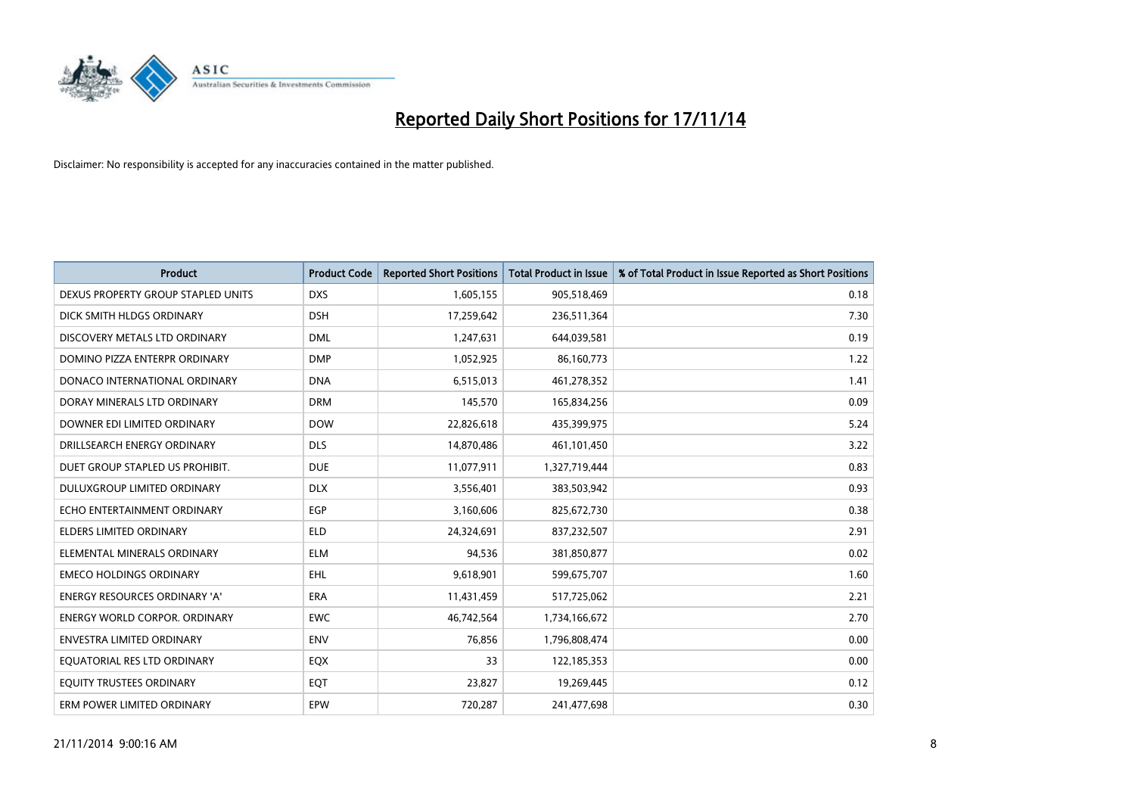

| <b>Product</b>                       | <b>Product Code</b> | <b>Reported Short Positions</b> | <b>Total Product in Issue</b> | % of Total Product in Issue Reported as Short Positions |
|--------------------------------------|---------------------|---------------------------------|-------------------------------|---------------------------------------------------------|
| DEXUS PROPERTY GROUP STAPLED UNITS   | <b>DXS</b>          | 1,605,155                       | 905,518,469                   | 0.18                                                    |
| DICK SMITH HLDGS ORDINARY            | <b>DSH</b>          | 17,259,642                      | 236,511,364                   | 7.30                                                    |
| DISCOVERY METALS LTD ORDINARY        | <b>DML</b>          | 1,247,631                       | 644,039,581                   | 0.19                                                    |
| DOMINO PIZZA ENTERPR ORDINARY        | <b>DMP</b>          | 1,052,925                       | 86,160,773                    | 1.22                                                    |
| DONACO INTERNATIONAL ORDINARY        | <b>DNA</b>          | 6,515,013                       | 461,278,352                   | 1.41                                                    |
| DORAY MINERALS LTD ORDINARY          | <b>DRM</b>          | 145,570                         | 165,834,256                   | 0.09                                                    |
| DOWNER EDI LIMITED ORDINARY          | <b>DOW</b>          | 22,826,618                      | 435,399,975                   | 5.24                                                    |
| DRILLSEARCH ENERGY ORDINARY          | <b>DLS</b>          | 14,870,486                      | 461,101,450                   | 3.22                                                    |
| DUET GROUP STAPLED US PROHIBIT.      | <b>DUE</b>          | 11,077,911                      | 1,327,719,444                 | 0.83                                                    |
| DULUXGROUP LIMITED ORDINARY          | <b>DLX</b>          | 3,556,401                       | 383,503,942                   | 0.93                                                    |
| ECHO ENTERTAINMENT ORDINARY          | <b>EGP</b>          | 3,160,606                       | 825,672,730                   | 0.38                                                    |
| <b>ELDERS LIMITED ORDINARY</b>       | <b>ELD</b>          | 24,324,691                      | 837,232,507                   | 2.91                                                    |
| ELEMENTAL MINERALS ORDINARY          | <b>ELM</b>          | 94,536                          | 381,850,877                   | 0.02                                                    |
| <b>EMECO HOLDINGS ORDINARY</b>       | <b>EHL</b>          | 9,618,901                       | 599,675,707                   | 1.60                                                    |
| <b>ENERGY RESOURCES ORDINARY 'A'</b> | <b>ERA</b>          | 11,431,459                      | 517,725,062                   | 2.21                                                    |
| <b>ENERGY WORLD CORPOR. ORDINARY</b> | <b>EWC</b>          | 46,742,564                      | 1,734,166,672                 | 2.70                                                    |
| ENVESTRA LIMITED ORDINARY            | ENV                 | 76,856                          | 1,796,808,474                 | 0.00                                                    |
| EQUATORIAL RES LTD ORDINARY          | EQX                 | 33                              | 122,185,353                   | 0.00                                                    |
| EQUITY TRUSTEES ORDINARY             | EQT                 | 23,827                          | 19,269,445                    | 0.12                                                    |
| ERM POWER LIMITED ORDINARY           | EPW                 | 720,287                         | 241,477,698                   | 0.30                                                    |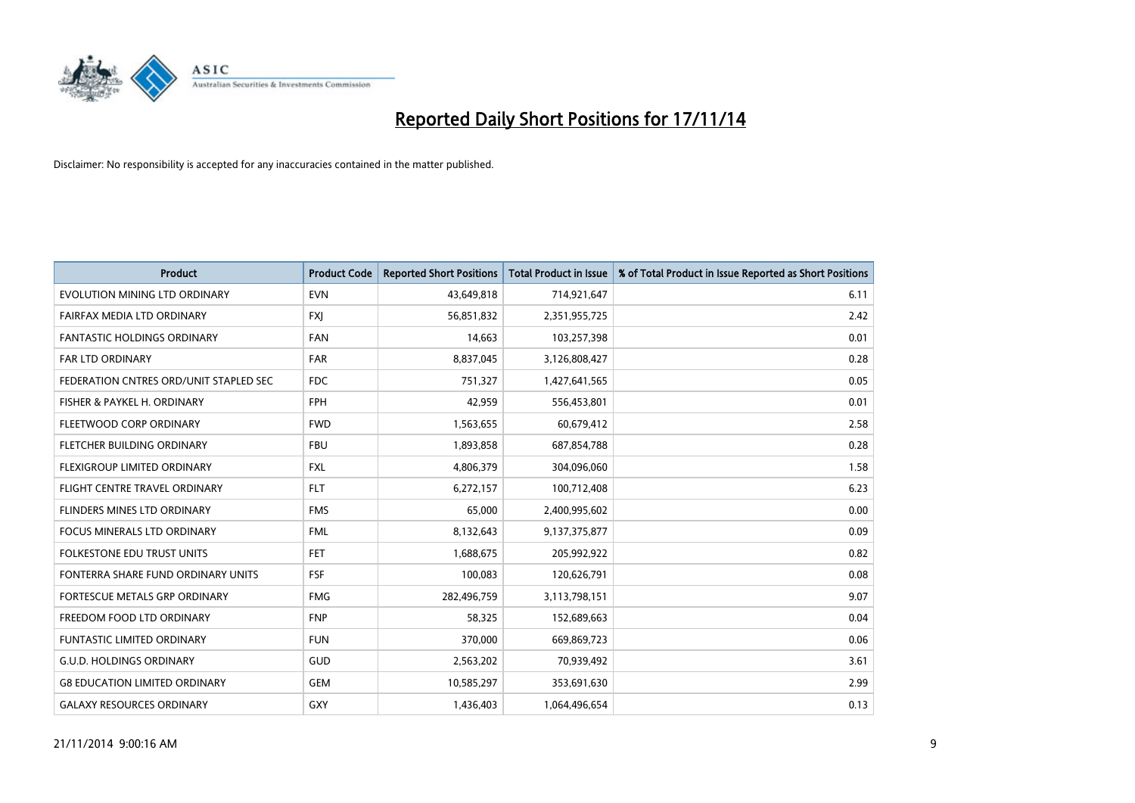

| <b>Product</b>                         | <b>Product Code</b> | <b>Reported Short Positions</b> | <b>Total Product in Issue</b> | % of Total Product in Issue Reported as Short Positions |
|----------------------------------------|---------------------|---------------------------------|-------------------------------|---------------------------------------------------------|
| EVOLUTION MINING LTD ORDINARY          | <b>EVN</b>          | 43,649,818                      | 714,921,647                   | 6.11                                                    |
| FAIRFAX MEDIA LTD ORDINARY             | <b>FXI</b>          | 56,851,832                      | 2,351,955,725                 | 2.42                                                    |
| <b>FANTASTIC HOLDINGS ORDINARY</b>     | <b>FAN</b>          | 14,663                          | 103,257,398                   | 0.01                                                    |
| <b>FAR LTD ORDINARY</b>                | <b>FAR</b>          | 8,837,045                       | 3,126,808,427                 | 0.28                                                    |
| FEDERATION CNTRES ORD/UNIT STAPLED SEC | <b>FDC</b>          | 751,327                         | 1,427,641,565                 | 0.05                                                    |
| FISHER & PAYKEL H. ORDINARY            | <b>FPH</b>          | 42,959                          | 556,453,801                   | 0.01                                                    |
| FLEETWOOD CORP ORDINARY                | <b>FWD</b>          | 1,563,655                       | 60,679,412                    | 2.58                                                    |
| FLETCHER BUILDING ORDINARY             | <b>FBU</b>          | 1,893,858                       | 687,854,788                   | 0.28                                                    |
| FLEXIGROUP LIMITED ORDINARY            | <b>FXL</b>          | 4,806,379                       | 304,096,060                   | 1.58                                                    |
| FLIGHT CENTRE TRAVEL ORDINARY          | <b>FLT</b>          | 6,272,157                       | 100,712,408                   | 6.23                                                    |
| FLINDERS MINES LTD ORDINARY            | <b>FMS</b>          | 65,000                          | 2,400,995,602                 | 0.00                                                    |
| <b>FOCUS MINERALS LTD ORDINARY</b>     | <b>FML</b>          | 8,132,643                       | 9,137,375,877                 | 0.09                                                    |
| FOLKESTONE EDU TRUST UNITS             | <b>FET</b>          | 1,688,675                       | 205,992,922                   | 0.82                                                    |
| FONTERRA SHARE FUND ORDINARY UNITS     | <b>FSF</b>          | 100,083                         | 120,626,791                   | 0.08                                                    |
| FORTESCUE METALS GRP ORDINARY          | <b>FMG</b>          | 282,496,759                     | 3,113,798,151                 | 9.07                                                    |
| FREEDOM FOOD LTD ORDINARY              | <b>FNP</b>          | 58,325                          | 152,689,663                   | 0.04                                                    |
| FUNTASTIC LIMITED ORDINARY             | <b>FUN</b>          | 370,000                         | 669,869,723                   | 0.06                                                    |
| <b>G.U.D. HOLDINGS ORDINARY</b>        | <b>GUD</b>          | 2,563,202                       | 70,939,492                    | 3.61                                                    |
| <b>G8 EDUCATION LIMITED ORDINARY</b>   | GEM                 | 10,585,297                      | 353,691,630                   | 2.99                                                    |
| <b>GALAXY RESOURCES ORDINARY</b>       | GXY                 | 1,436,403                       | 1,064,496,654                 | 0.13                                                    |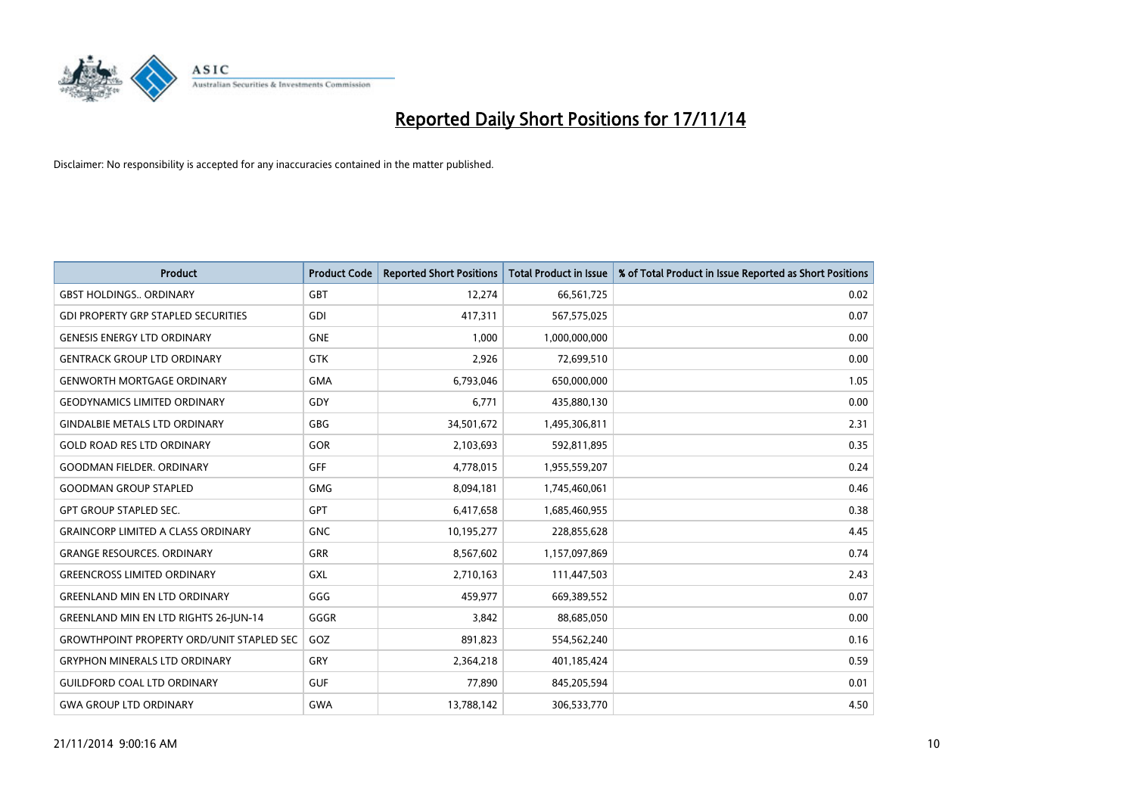

| <b>Product</b>                                   | <b>Product Code</b> | <b>Reported Short Positions</b> | <b>Total Product in Issue</b> | % of Total Product in Issue Reported as Short Positions |
|--------------------------------------------------|---------------------|---------------------------------|-------------------------------|---------------------------------------------------------|
| <b>GBST HOLDINGS ORDINARY</b>                    | <b>GBT</b>          | 12,274                          | 66,561,725                    | 0.02                                                    |
| <b>GDI PROPERTY GRP STAPLED SECURITIES</b>       | <b>GDI</b>          | 417,311                         | 567,575,025                   | 0.07                                                    |
| <b>GENESIS ENERGY LTD ORDINARY</b>               | <b>GNE</b>          | 1,000                           | 1,000,000,000                 | 0.00                                                    |
| <b>GENTRACK GROUP LTD ORDINARY</b>               | <b>GTK</b>          | 2,926                           | 72,699,510                    | 0.00                                                    |
| <b>GENWORTH MORTGAGE ORDINARY</b>                | <b>GMA</b>          | 6,793,046                       | 650,000,000                   | 1.05                                                    |
| <b>GEODYNAMICS LIMITED ORDINARY</b>              | GDY                 | 6,771                           | 435,880,130                   | 0.00                                                    |
| <b>GINDALBIE METALS LTD ORDINARY</b>             | <b>GBG</b>          | 34,501,672                      | 1,495,306,811                 | 2.31                                                    |
| <b>GOLD ROAD RES LTD ORDINARY</b>                | GOR                 | 2,103,693                       | 592,811,895                   | 0.35                                                    |
| <b>GOODMAN FIELDER, ORDINARY</b>                 | <b>GFF</b>          | 4,778,015                       | 1,955,559,207                 | 0.24                                                    |
| <b>GOODMAN GROUP STAPLED</b>                     | <b>GMG</b>          | 8,094,181                       | 1,745,460,061                 | 0.46                                                    |
| GPT GROUP STAPLED SEC.                           | <b>GPT</b>          | 6,417,658                       | 1,685,460,955                 | 0.38                                                    |
| <b>GRAINCORP LIMITED A CLASS ORDINARY</b>        | <b>GNC</b>          | 10,195,277                      | 228,855,628                   | 4.45                                                    |
| <b>GRANGE RESOURCES. ORDINARY</b>                | <b>GRR</b>          | 8,567,602                       | 1,157,097,869                 | 0.74                                                    |
| <b>GREENCROSS LIMITED ORDINARY</b>               | <b>GXL</b>          | 2,710,163                       | 111,447,503                   | 2.43                                                    |
| <b>GREENLAND MIN EN LTD ORDINARY</b>             | GGG                 | 459,977                         | 669,389,552                   | 0.07                                                    |
| <b>GREENLAND MIN EN LTD RIGHTS 26-JUN-14</b>     | GGGR                | 3,842                           | 88,685,050                    | 0.00                                                    |
| <b>GROWTHPOINT PROPERTY ORD/UNIT STAPLED SEC</b> | GOZ                 | 891,823                         | 554,562,240                   | 0.16                                                    |
| <b>GRYPHON MINERALS LTD ORDINARY</b>             | GRY                 | 2,364,218                       | 401,185,424                   | 0.59                                                    |
| <b>GUILDFORD COAL LTD ORDINARY</b>               | <b>GUF</b>          | 77,890                          | 845,205,594                   | 0.01                                                    |
| <b>GWA GROUP LTD ORDINARY</b>                    | <b>GWA</b>          | 13,788,142                      | 306,533,770                   | 4.50                                                    |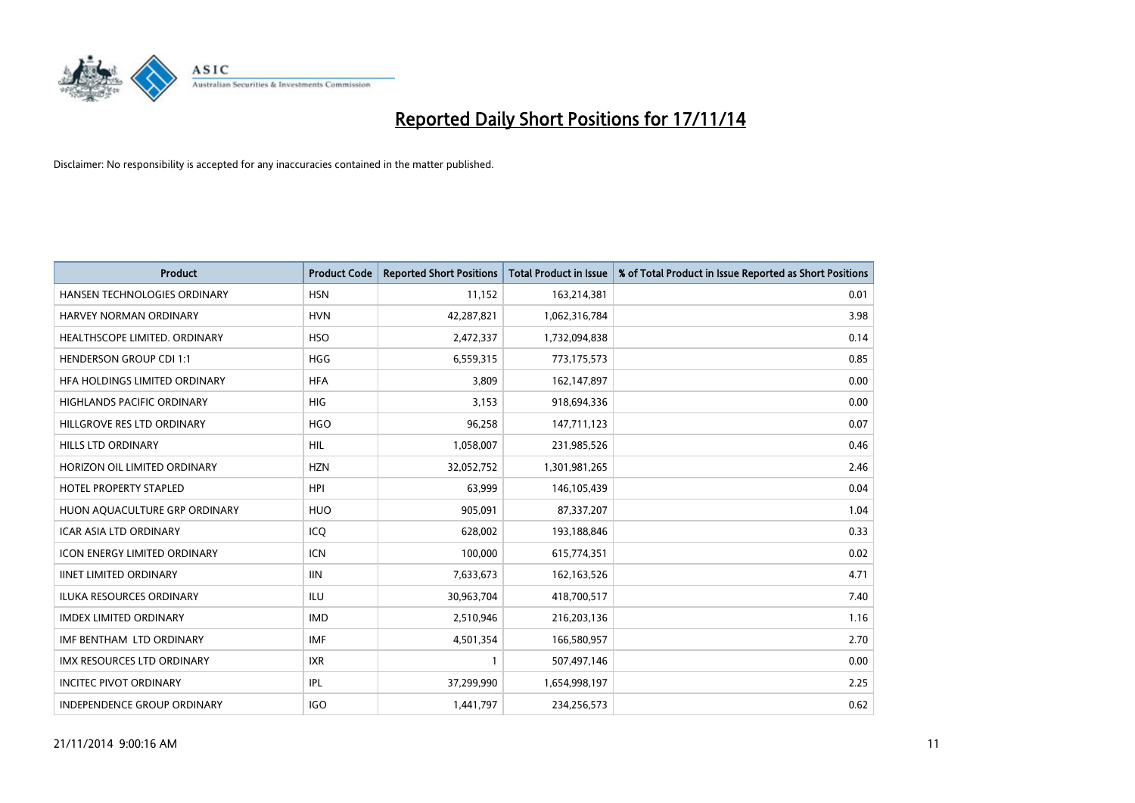

| Product                              | <b>Product Code</b> | <b>Reported Short Positions</b> | <b>Total Product in Issue</b> | % of Total Product in Issue Reported as Short Positions |
|--------------------------------------|---------------------|---------------------------------|-------------------------------|---------------------------------------------------------|
| HANSEN TECHNOLOGIES ORDINARY         | <b>HSN</b>          | 11,152                          | 163,214,381                   | 0.01                                                    |
| HARVEY NORMAN ORDINARY               | <b>HVN</b>          | 42,287,821                      | 1,062,316,784                 | 3.98                                                    |
| <b>HEALTHSCOPE LIMITED, ORDINARY</b> | <b>HSO</b>          | 2,472,337                       | 1,732,094,838                 | 0.14                                                    |
| <b>HENDERSON GROUP CDI 1:1</b>       | <b>HGG</b>          | 6,559,315                       | 773,175,573                   | 0.85                                                    |
| HFA HOLDINGS LIMITED ORDINARY        | <b>HFA</b>          | 3,809                           | 162,147,897                   | 0.00                                                    |
| <b>HIGHLANDS PACIFIC ORDINARY</b>    | <b>HIG</b>          | 3,153                           | 918,694,336                   | 0.00                                                    |
| HILLGROVE RES LTD ORDINARY           | <b>HGO</b>          | 96,258                          | 147,711,123                   | 0.07                                                    |
| HILLS LTD ORDINARY                   | HIL                 | 1,058,007                       | 231,985,526                   | 0.46                                                    |
| HORIZON OIL LIMITED ORDINARY         | <b>HZN</b>          | 32,052,752                      | 1,301,981,265                 | 2.46                                                    |
| <b>HOTEL PROPERTY STAPLED</b>        | <b>HPI</b>          | 63,999                          | 146, 105, 439                 | 0.04                                                    |
| HUON AQUACULTURE GRP ORDINARY        | <b>HUO</b>          | 905,091                         | 87,337,207                    | 1.04                                                    |
| <b>ICAR ASIA LTD ORDINARY</b>        | ICQ                 | 628,002                         | 193,188,846                   | 0.33                                                    |
| <b>ICON ENERGY LIMITED ORDINARY</b>  | <b>ICN</b>          | 100.000                         | 615,774,351                   | 0.02                                                    |
| <b>IINET LIMITED ORDINARY</b>        | <b>IIN</b>          | 7,633,673                       | 162,163,526                   | 4.71                                                    |
| <b>ILUKA RESOURCES ORDINARY</b>      | <b>ILU</b>          | 30,963,704                      | 418,700,517                   | 7.40                                                    |
| <b>IMDEX LIMITED ORDINARY</b>        | <b>IMD</b>          | 2,510,946                       | 216,203,136                   | 1.16                                                    |
| IMF BENTHAM LTD ORDINARY             | <b>IMF</b>          | 4,501,354                       | 166,580,957                   | 2.70                                                    |
| IMX RESOURCES LTD ORDINARY           | <b>IXR</b>          | 1                               | 507,497,146                   | 0.00                                                    |
| <b>INCITEC PIVOT ORDINARY</b>        | IPL                 | 37,299,990                      | 1,654,998,197                 | 2.25                                                    |
| INDEPENDENCE GROUP ORDINARY          | <b>IGO</b>          | 1,441,797                       | 234,256,573                   | 0.62                                                    |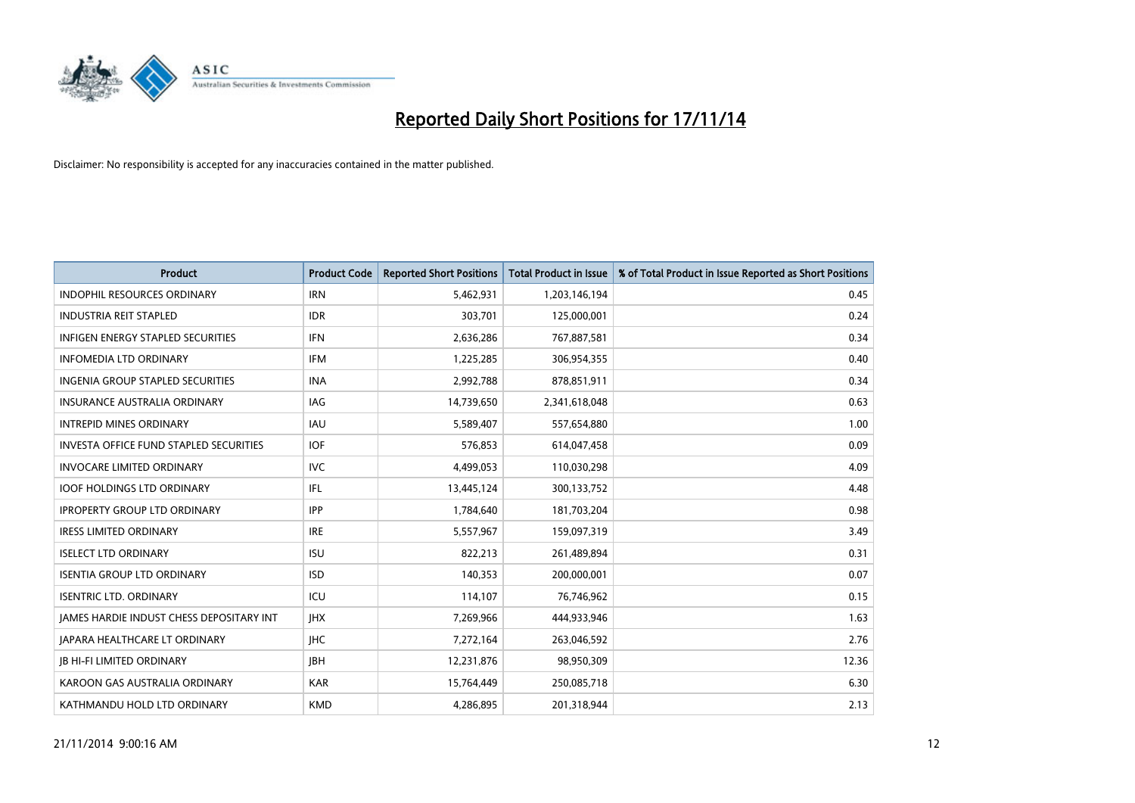

| <b>Product</b>                                  | <b>Product Code</b> | <b>Reported Short Positions</b> | <b>Total Product in Issue</b> | % of Total Product in Issue Reported as Short Positions |
|-------------------------------------------------|---------------------|---------------------------------|-------------------------------|---------------------------------------------------------|
| <b>INDOPHIL RESOURCES ORDINARY</b>              | <b>IRN</b>          | 5,462,931                       | 1,203,146,194                 | 0.45                                                    |
| <b>INDUSTRIA REIT STAPLED</b>                   | <b>IDR</b>          | 303,701                         | 125,000,001                   | 0.24                                                    |
| <b>INFIGEN ENERGY STAPLED SECURITIES</b>        | <b>IFN</b>          | 2,636,286                       | 767,887,581                   | 0.34                                                    |
| <b>INFOMEDIA LTD ORDINARY</b>                   | <b>IFM</b>          | 1,225,285                       | 306,954,355                   | 0.40                                                    |
| <b>INGENIA GROUP STAPLED SECURITIES</b>         | <b>INA</b>          | 2,992,788                       | 878,851,911                   | 0.34                                                    |
| <b>INSURANCE AUSTRALIA ORDINARY</b>             | <b>IAG</b>          | 14,739,650                      | 2,341,618,048                 | 0.63                                                    |
| <b>INTREPID MINES ORDINARY</b>                  | <b>IAU</b>          | 5,589,407                       | 557,654,880                   | 1.00                                                    |
| <b>INVESTA OFFICE FUND STAPLED SECURITIES</b>   | <b>IOF</b>          | 576,853                         | 614,047,458                   | 0.09                                                    |
| <b>INVOCARE LIMITED ORDINARY</b>                | <b>IVC</b>          | 4,499,053                       | 110,030,298                   | 4.09                                                    |
| <b>IOOF HOLDINGS LTD ORDINARY</b>               | IFL                 | 13,445,124                      | 300,133,752                   | 4.48                                                    |
| <b>IPROPERTY GROUP LTD ORDINARY</b>             | <b>IPP</b>          | 1,784,640                       | 181,703,204                   | 0.98                                                    |
| <b>IRESS LIMITED ORDINARY</b>                   | <b>IRE</b>          | 5,557,967                       | 159,097,319                   | 3.49                                                    |
| <b>ISELECT LTD ORDINARY</b>                     | <b>ISU</b>          | 822,213                         | 261,489,894                   | 0.31                                                    |
| <b>ISENTIA GROUP LTD ORDINARY</b>               | <b>ISD</b>          | 140,353                         | 200,000,001                   | 0.07                                                    |
| <b>ISENTRIC LTD. ORDINARY</b>                   | ICU                 | 114,107                         | 76,746,962                    | 0.15                                                    |
| <b>JAMES HARDIE INDUST CHESS DEPOSITARY INT</b> | <b>IHX</b>          | 7,269,966                       | 444,933,946                   | 1.63                                                    |
| JAPARA HEALTHCARE LT ORDINARY                   | <b>IHC</b>          | 7,272,164                       | 263,046,592                   | 2.76                                                    |
| <b>JB HI-FI LIMITED ORDINARY</b>                | <b>JBH</b>          | 12,231,876                      | 98,950,309                    | 12.36                                                   |
| KAROON GAS AUSTRALIA ORDINARY                   | <b>KAR</b>          | 15,764,449                      | 250,085,718                   | 6.30                                                    |
| KATHMANDU HOLD LTD ORDINARY                     | <b>KMD</b>          | 4,286,895                       | 201,318,944                   | 2.13                                                    |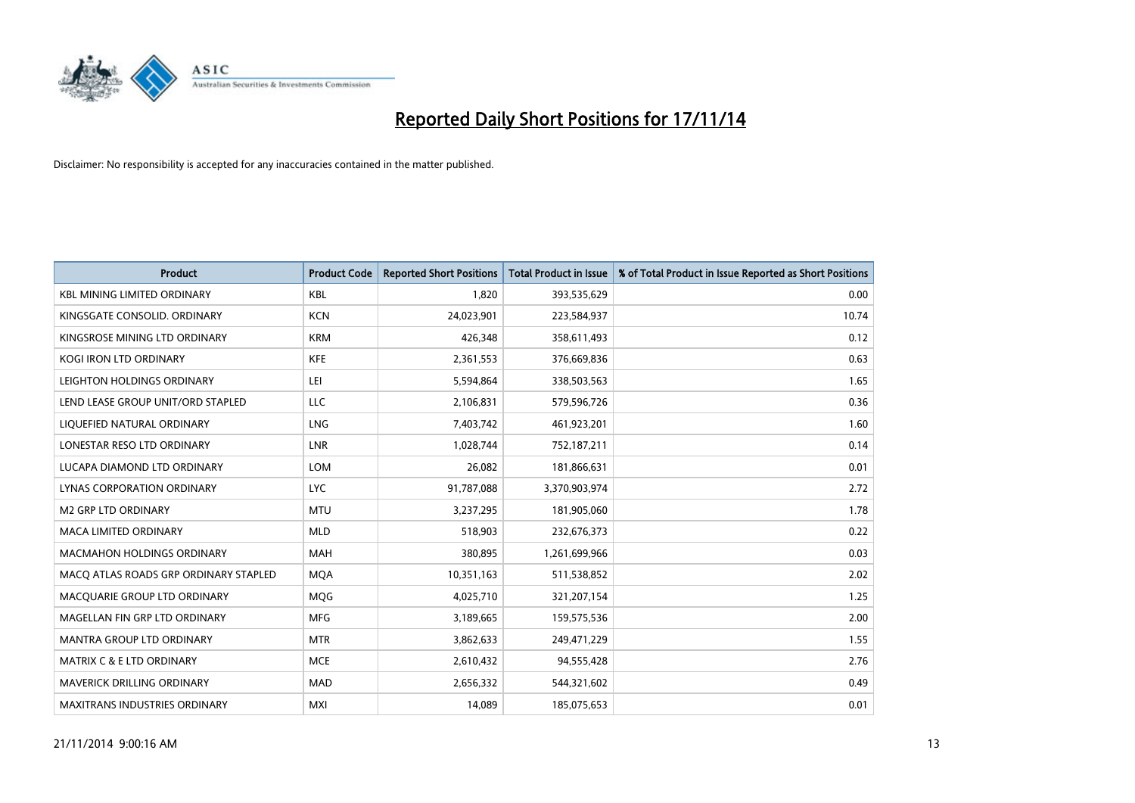

| <b>Product</b>                        | <b>Product Code</b> | <b>Reported Short Positions</b> | <b>Total Product in Issue</b> | % of Total Product in Issue Reported as Short Positions |
|---------------------------------------|---------------------|---------------------------------|-------------------------------|---------------------------------------------------------|
| <b>KBL MINING LIMITED ORDINARY</b>    | <b>KBL</b>          | 1,820                           | 393,535,629                   | 0.00                                                    |
| KINGSGATE CONSOLID. ORDINARY          | <b>KCN</b>          | 24,023,901                      | 223,584,937                   | 10.74                                                   |
| KINGSROSE MINING LTD ORDINARY         | <b>KRM</b>          | 426,348                         | 358,611,493                   | 0.12                                                    |
| KOGI IRON LTD ORDINARY                | <b>KFE</b>          | 2,361,553                       | 376,669,836                   | 0.63                                                    |
| LEIGHTON HOLDINGS ORDINARY            | LEI                 | 5,594,864                       | 338,503,563                   | 1.65                                                    |
| LEND LEASE GROUP UNIT/ORD STAPLED     | <b>LLC</b>          | 2,106,831                       | 579,596,726                   | 0.36                                                    |
| LIQUEFIED NATURAL ORDINARY            | <b>LNG</b>          | 7,403,742                       | 461,923,201                   | 1.60                                                    |
| LONESTAR RESO LTD ORDINARY            | <b>LNR</b>          | 1,028,744                       | 752,187,211                   | 0.14                                                    |
| LUCAPA DIAMOND LTD ORDINARY           | <b>LOM</b>          | 26,082                          | 181,866,631                   | 0.01                                                    |
| LYNAS CORPORATION ORDINARY            | <b>LYC</b>          | 91,787,088                      | 3,370,903,974                 | 2.72                                                    |
| <b>M2 GRP LTD ORDINARY</b>            | <b>MTU</b>          | 3,237,295                       | 181,905,060                   | 1.78                                                    |
| <b>MACA LIMITED ORDINARY</b>          | <b>MLD</b>          | 518,903                         | 232,676,373                   | 0.22                                                    |
| <b>MACMAHON HOLDINGS ORDINARY</b>     | <b>MAH</b>          | 380,895                         | 1,261,699,966                 | 0.03                                                    |
| MACO ATLAS ROADS GRP ORDINARY STAPLED | <b>MOA</b>          | 10,351,163                      | 511,538,852                   | 2.02                                                    |
| MACQUARIE GROUP LTD ORDINARY          | MQG                 | 4,025,710                       | 321,207,154                   | 1.25                                                    |
| MAGELLAN FIN GRP LTD ORDINARY         | <b>MFG</b>          | 3,189,665                       | 159,575,536                   | 2.00                                                    |
| MANTRA GROUP LTD ORDINARY             | <b>MTR</b>          | 3,862,633                       | 249,471,229                   | 1.55                                                    |
| <b>MATRIX C &amp; E LTD ORDINARY</b>  | <b>MCE</b>          | 2,610,432                       | 94,555,428                    | 2.76                                                    |
| MAVERICK DRILLING ORDINARY            | <b>MAD</b>          | 2,656,332                       | 544,321,602                   | 0.49                                                    |
| MAXITRANS INDUSTRIES ORDINARY         | <b>MXI</b>          | 14,089                          | 185,075,653                   | 0.01                                                    |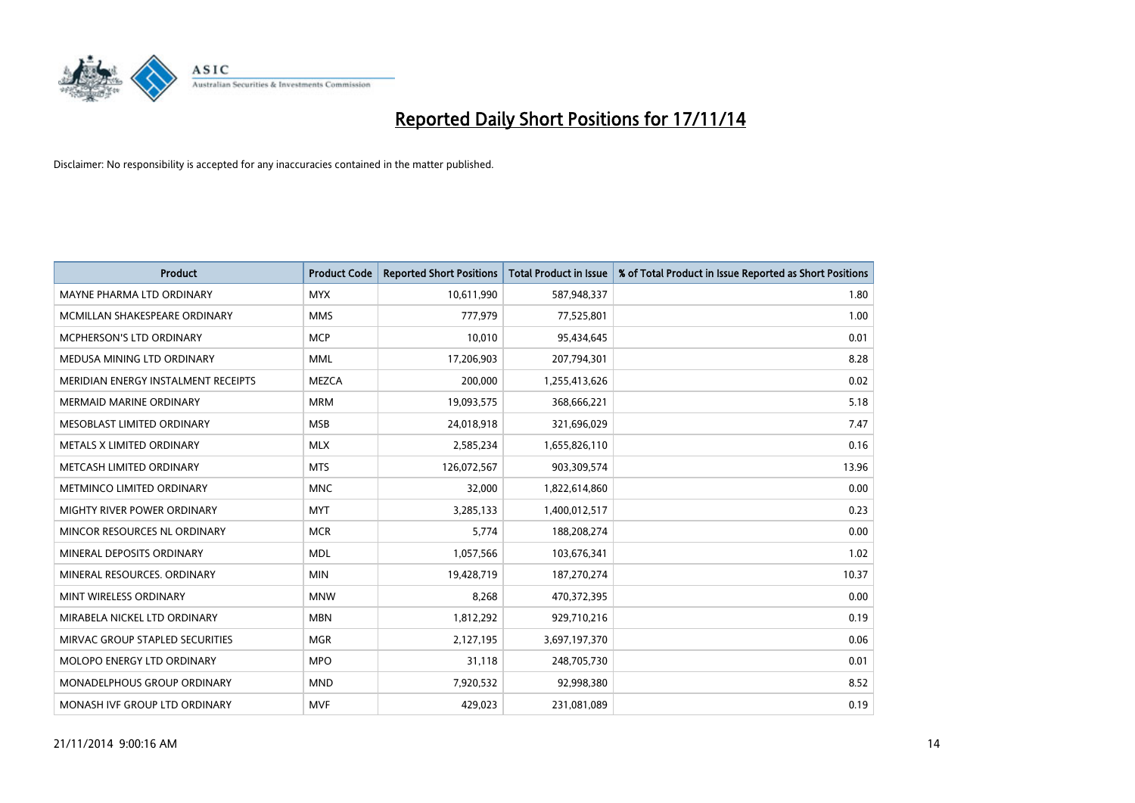

| <b>Product</b>                      | <b>Product Code</b> | <b>Reported Short Positions</b> | <b>Total Product in Issue</b> | % of Total Product in Issue Reported as Short Positions |
|-------------------------------------|---------------------|---------------------------------|-------------------------------|---------------------------------------------------------|
| MAYNE PHARMA LTD ORDINARY           | <b>MYX</b>          | 10,611,990                      | 587,948,337                   | 1.80                                                    |
| MCMILLAN SHAKESPEARE ORDINARY       | <b>MMS</b>          | 777,979                         | 77,525,801                    | 1.00                                                    |
| <b>MCPHERSON'S LTD ORDINARY</b>     | <b>MCP</b>          | 10,010                          | 95,434,645                    | 0.01                                                    |
| MEDUSA MINING LTD ORDINARY          | <b>MML</b>          | 17,206,903                      | 207,794,301                   | 8.28                                                    |
| MERIDIAN ENERGY INSTALMENT RECEIPTS | <b>MEZCA</b>        | 200,000                         | 1,255,413,626                 | 0.02                                                    |
| <b>MERMAID MARINE ORDINARY</b>      | <b>MRM</b>          | 19,093,575                      | 368,666,221                   | 5.18                                                    |
| MESOBLAST LIMITED ORDINARY          | <b>MSB</b>          | 24,018,918                      | 321,696,029                   | 7.47                                                    |
| METALS X LIMITED ORDINARY           | <b>MLX</b>          | 2,585,234                       | 1,655,826,110                 | 0.16                                                    |
| METCASH LIMITED ORDINARY            | <b>MTS</b>          | 126,072,567                     | 903,309,574                   | 13.96                                                   |
| METMINCO LIMITED ORDINARY           | <b>MNC</b>          | 32,000                          | 1,822,614,860                 | 0.00                                                    |
| MIGHTY RIVER POWER ORDINARY         | <b>MYT</b>          | 3,285,133                       | 1,400,012,517                 | 0.23                                                    |
| MINCOR RESOURCES NL ORDINARY        | <b>MCR</b>          | 5,774                           | 188,208,274                   | 0.00                                                    |
| MINERAL DEPOSITS ORDINARY           | <b>MDL</b>          | 1,057,566                       | 103,676,341                   | 1.02                                                    |
| MINERAL RESOURCES, ORDINARY         | <b>MIN</b>          | 19,428,719                      | 187,270,274                   | 10.37                                                   |
| MINT WIRELESS ORDINARY              | <b>MNW</b>          | 8,268                           | 470,372,395                   | 0.00                                                    |
| MIRABELA NICKEL LTD ORDINARY        | <b>MBN</b>          | 1,812,292                       | 929,710,216                   | 0.19                                                    |
| MIRVAC GROUP STAPLED SECURITIES     | <b>MGR</b>          | 2,127,195                       | 3,697,197,370                 | 0.06                                                    |
| MOLOPO ENERGY LTD ORDINARY          | <b>MPO</b>          | 31,118                          | 248,705,730                   | 0.01                                                    |
| MONADELPHOUS GROUP ORDINARY         | <b>MND</b>          | 7,920,532                       | 92,998,380                    | 8.52                                                    |
| MONASH IVF GROUP LTD ORDINARY       | <b>MVF</b>          | 429,023                         | 231,081,089                   | 0.19                                                    |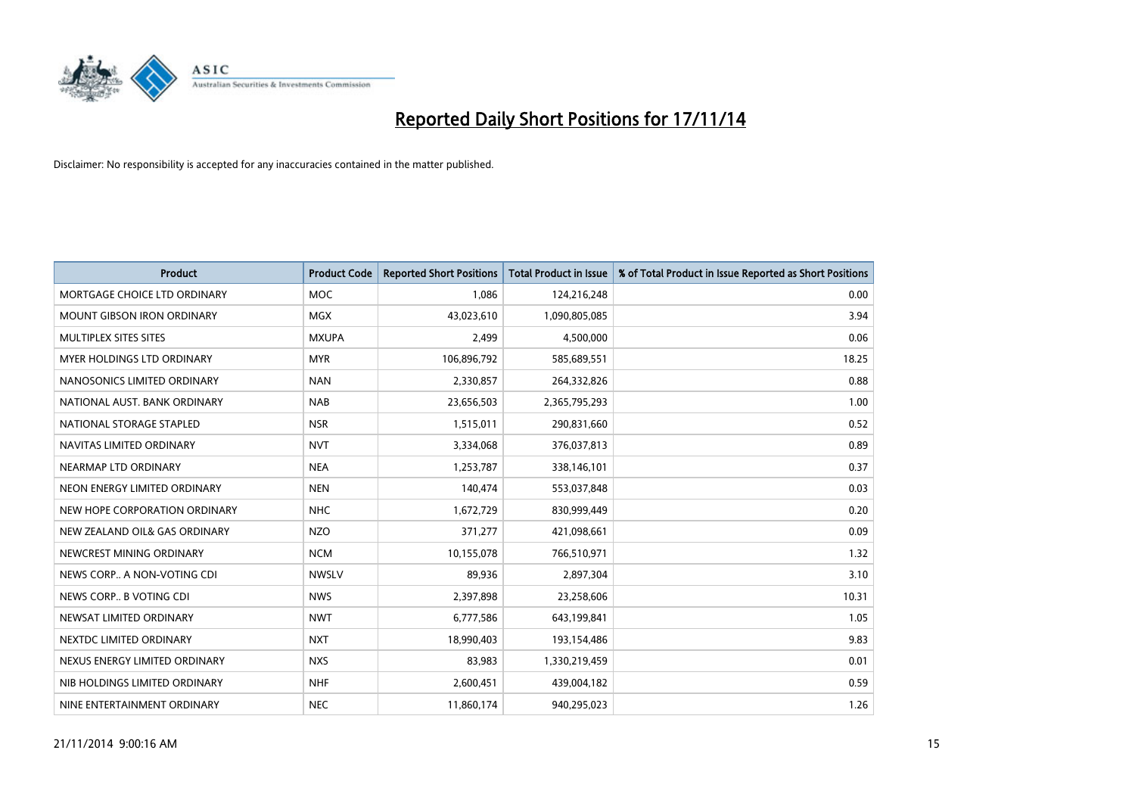

| <b>Product</b>                | <b>Product Code</b> | <b>Reported Short Positions</b> | <b>Total Product in Issue</b> | % of Total Product in Issue Reported as Short Positions |
|-------------------------------|---------------------|---------------------------------|-------------------------------|---------------------------------------------------------|
| MORTGAGE CHOICE LTD ORDINARY  | <b>MOC</b>          | 1,086                           | 124,216,248                   | 0.00                                                    |
| MOUNT GIBSON IRON ORDINARY    | <b>MGX</b>          | 43,023,610                      | 1,090,805,085                 | 3.94                                                    |
| MULTIPLEX SITES SITES         | <b>MXUPA</b>        | 2,499                           | 4,500,000                     | 0.06                                                    |
| MYER HOLDINGS LTD ORDINARY    | <b>MYR</b>          | 106,896,792                     | 585,689,551                   | 18.25                                                   |
| NANOSONICS LIMITED ORDINARY   | <b>NAN</b>          | 2,330,857                       | 264,332,826                   | 0.88                                                    |
| NATIONAL AUST. BANK ORDINARY  | <b>NAB</b>          | 23,656,503                      | 2,365,795,293                 | 1.00                                                    |
| NATIONAL STORAGE STAPLED      | <b>NSR</b>          | 1,515,011                       | 290,831,660                   | 0.52                                                    |
| NAVITAS LIMITED ORDINARY      | <b>NVT</b>          | 3,334,068                       | 376,037,813                   | 0.89                                                    |
| NEARMAP LTD ORDINARY          | <b>NEA</b>          | 1,253,787                       | 338,146,101                   | 0.37                                                    |
| NEON ENERGY LIMITED ORDINARY  | <b>NEN</b>          | 140,474                         | 553,037,848                   | 0.03                                                    |
| NEW HOPE CORPORATION ORDINARY | <b>NHC</b>          | 1,672,729                       | 830,999,449                   | 0.20                                                    |
| NEW ZEALAND OIL& GAS ORDINARY | <b>NZO</b>          | 371,277                         | 421,098,661                   | 0.09                                                    |
| NEWCREST MINING ORDINARY      | <b>NCM</b>          | 10,155,078                      | 766,510,971                   | 1.32                                                    |
| NEWS CORP A NON-VOTING CDI    | <b>NWSLV</b>        | 89,936                          | 2,897,304                     | 3.10                                                    |
| NEWS CORP B VOTING CDI        | <b>NWS</b>          | 2,397,898                       | 23,258,606                    | 10.31                                                   |
| NEWSAT LIMITED ORDINARY       | <b>NWT</b>          | 6,777,586                       | 643,199,841                   | 1.05                                                    |
| NEXTDC LIMITED ORDINARY       | <b>NXT</b>          | 18,990,403                      | 193,154,486                   | 9.83                                                    |
| NEXUS ENERGY LIMITED ORDINARY | <b>NXS</b>          | 83,983                          | 1,330,219,459                 | 0.01                                                    |
| NIB HOLDINGS LIMITED ORDINARY | <b>NHF</b>          | 2,600,451                       | 439,004,182                   | 0.59                                                    |
| NINE ENTERTAINMENT ORDINARY   | <b>NEC</b>          | 11,860,174                      | 940,295,023                   | 1.26                                                    |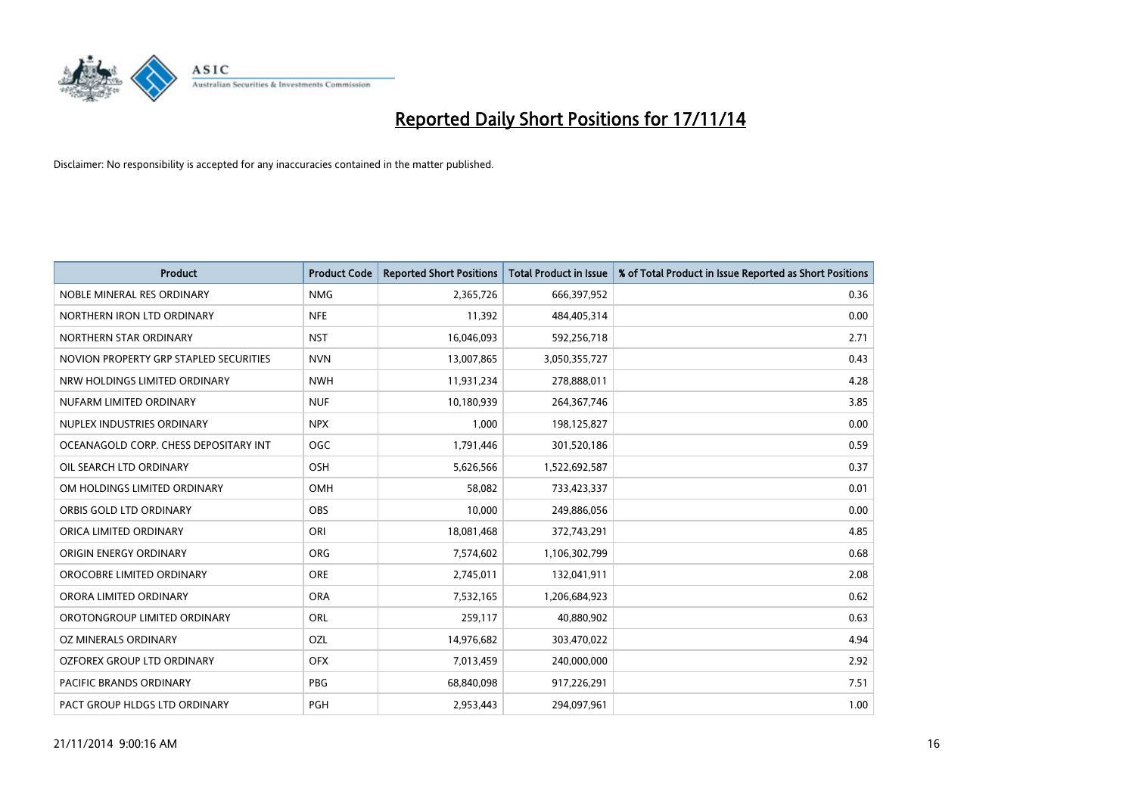

| <b>Product</b>                         | <b>Product Code</b> | <b>Reported Short Positions</b> | <b>Total Product in Issue</b> | % of Total Product in Issue Reported as Short Positions |
|----------------------------------------|---------------------|---------------------------------|-------------------------------|---------------------------------------------------------|
| NOBLE MINERAL RES ORDINARY             | <b>NMG</b>          | 2,365,726                       | 666,397,952                   | 0.36                                                    |
| NORTHERN IRON LTD ORDINARY             | <b>NFE</b>          | 11,392                          | 484,405,314                   | 0.00                                                    |
| NORTHERN STAR ORDINARY                 | <b>NST</b>          | 16,046,093                      | 592,256,718                   | 2.71                                                    |
| NOVION PROPERTY GRP STAPLED SECURITIES | <b>NVN</b>          | 13,007,865                      | 3,050,355,727                 | 0.43                                                    |
| NRW HOLDINGS LIMITED ORDINARY          | <b>NWH</b>          | 11,931,234                      | 278,888,011                   | 4.28                                                    |
| NUFARM LIMITED ORDINARY                | <b>NUF</b>          | 10,180,939                      | 264, 367, 746                 | 3.85                                                    |
| NUPLEX INDUSTRIES ORDINARY             | <b>NPX</b>          | 1,000                           | 198,125,827                   | 0.00                                                    |
| OCEANAGOLD CORP. CHESS DEPOSITARY INT  | <b>OGC</b>          | 1,791,446                       | 301,520,186                   | 0.59                                                    |
| OIL SEARCH LTD ORDINARY                | OSH                 | 5,626,566                       | 1,522,692,587                 | 0.37                                                    |
| OM HOLDINGS LIMITED ORDINARY           | <b>OMH</b>          | 58,082                          | 733,423,337                   | 0.01                                                    |
| ORBIS GOLD LTD ORDINARY                | <b>OBS</b>          | 10,000                          | 249,886,056                   | 0.00                                                    |
| ORICA LIMITED ORDINARY                 | ORI                 | 18,081,468                      | 372,743,291                   | 4.85                                                    |
| ORIGIN ENERGY ORDINARY                 | <b>ORG</b>          | 7,574,602                       | 1,106,302,799                 | 0.68                                                    |
| OROCOBRE LIMITED ORDINARY              | <b>ORE</b>          | 2,745,011                       | 132,041,911                   | 2.08                                                    |
| ORORA LIMITED ORDINARY                 | <b>ORA</b>          | 7,532,165                       | 1,206,684,923                 | 0.62                                                    |
| OROTONGROUP LIMITED ORDINARY           | ORL                 | 259,117                         | 40,880,902                    | 0.63                                                    |
| OZ MINERALS ORDINARY                   | OZL                 | 14,976,682                      | 303,470,022                   | 4.94                                                    |
| OZFOREX GROUP LTD ORDINARY             | <b>OFX</b>          | 7,013,459                       | 240,000,000                   | 2.92                                                    |
| <b>PACIFIC BRANDS ORDINARY</b>         | <b>PBG</b>          | 68,840,098                      | 917,226,291                   | 7.51                                                    |
| PACT GROUP HLDGS LTD ORDINARY          | PGH                 | 2,953,443                       | 294,097,961                   | 1.00                                                    |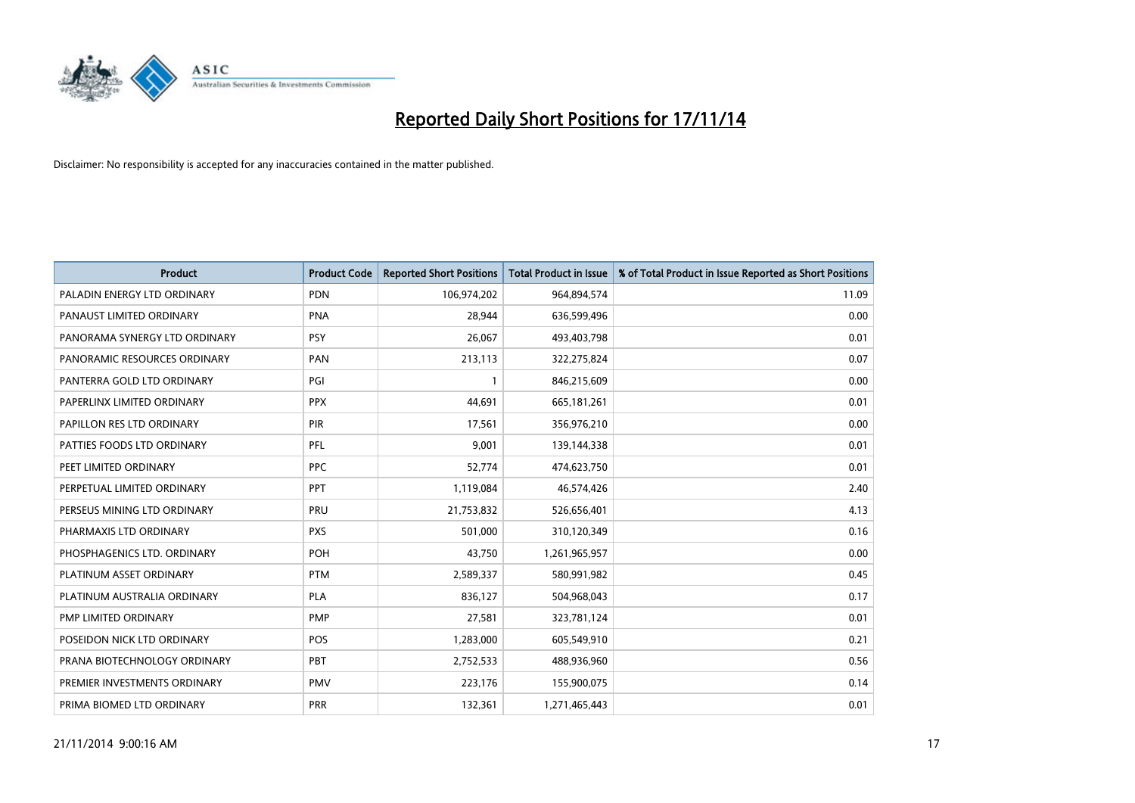

| <b>Product</b>                | <b>Product Code</b> | <b>Reported Short Positions</b> | <b>Total Product in Issue</b> | % of Total Product in Issue Reported as Short Positions |
|-------------------------------|---------------------|---------------------------------|-------------------------------|---------------------------------------------------------|
| PALADIN ENERGY LTD ORDINARY   | <b>PDN</b>          | 106,974,202                     | 964,894,574                   | 11.09                                                   |
| PANAUST LIMITED ORDINARY      | <b>PNA</b>          | 28,944                          | 636,599,496                   | 0.00                                                    |
| PANORAMA SYNERGY LTD ORDINARY | <b>PSY</b>          | 26,067                          | 493,403,798                   | 0.01                                                    |
| PANORAMIC RESOURCES ORDINARY  | <b>PAN</b>          | 213,113                         | 322,275,824                   | 0.07                                                    |
| PANTERRA GOLD LTD ORDINARY    | PGI                 | $\mathbf{1}$                    | 846,215,609                   | 0.00                                                    |
| PAPERLINX LIMITED ORDINARY    | <b>PPX</b>          | 44,691                          | 665, 181, 261                 | 0.01                                                    |
| PAPILLON RES LTD ORDINARY     | PIR                 | 17,561                          | 356,976,210                   | 0.00                                                    |
| PATTIES FOODS LTD ORDINARY    | PFL                 | 9,001                           | 139,144,338                   | 0.01                                                    |
| PEET LIMITED ORDINARY         | <b>PPC</b>          | 52,774                          | 474,623,750                   | 0.01                                                    |
| PERPETUAL LIMITED ORDINARY    | PPT                 | 1,119,084                       | 46,574,426                    | 2.40                                                    |
| PERSEUS MINING LTD ORDINARY   | PRU                 | 21,753,832                      | 526,656,401                   | 4.13                                                    |
| PHARMAXIS LTD ORDINARY        | <b>PXS</b>          | 501,000                         | 310,120,349                   | 0.16                                                    |
| PHOSPHAGENICS LTD. ORDINARY   | POH                 | 43,750                          | 1,261,965,957                 | 0.00                                                    |
| PLATINUM ASSET ORDINARY       | <b>PTM</b>          | 2,589,337                       | 580,991,982                   | 0.45                                                    |
| PLATINUM AUSTRALIA ORDINARY   | <b>PLA</b>          | 836,127                         | 504,968,043                   | 0.17                                                    |
| PMP LIMITED ORDINARY          | <b>PMP</b>          | 27,581                          | 323,781,124                   | 0.01                                                    |
| POSEIDON NICK LTD ORDINARY    | POS                 | 1,283,000                       | 605,549,910                   | 0.21                                                    |
| PRANA BIOTECHNOLOGY ORDINARY  | <b>PBT</b>          | 2,752,533                       | 488,936,960                   | 0.56                                                    |
| PREMIER INVESTMENTS ORDINARY  | <b>PMV</b>          | 223,176                         | 155,900,075                   | 0.14                                                    |
| PRIMA BIOMED LTD ORDINARY     | <b>PRR</b>          | 132,361                         | 1,271,465,443                 | 0.01                                                    |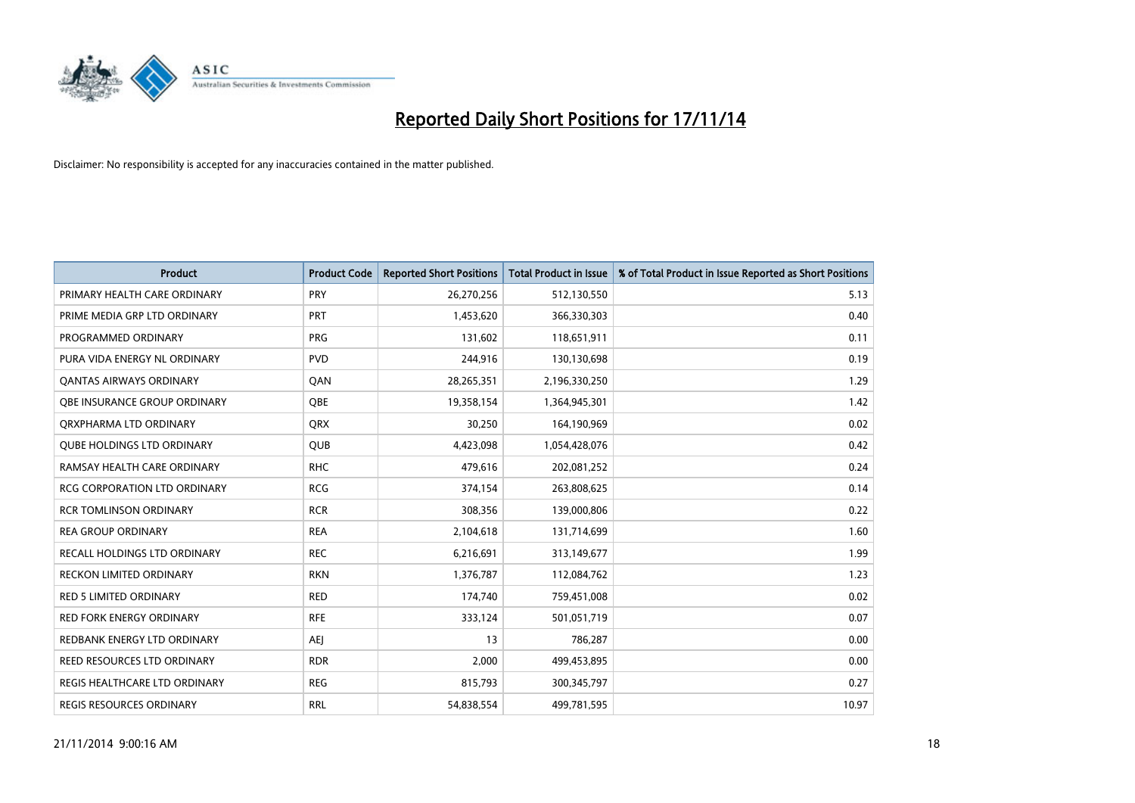

| <b>Product</b>                      | <b>Product Code</b> | <b>Reported Short Positions</b> | <b>Total Product in Issue</b> | % of Total Product in Issue Reported as Short Positions |
|-------------------------------------|---------------------|---------------------------------|-------------------------------|---------------------------------------------------------|
| PRIMARY HEALTH CARE ORDINARY        | PRY                 | 26,270,256                      | 512,130,550                   | 5.13                                                    |
| PRIME MEDIA GRP LTD ORDINARY        | PRT                 | 1,453,620                       | 366,330,303                   | 0.40                                                    |
| PROGRAMMED ORDINARY                 | <b>PRG</b>          | 131,602                         | 118,651,911                   | 0.11                                                    |
| PURA VIDA ENERGY NL ORDINARY        | <b>PVD</b>          | 244,916                         | 130,130,698                   | 0.19                                                    |
| OANTAS AIRWAYS ORDINARY             | QAN                 | 28,265,351                      | 2,196,330,250                 | 1.29                                                    |
| OBE INSURANCE GROUP ORDINARY        | <b>OBE</b>          | 19,358,154                      | 1,364,945,301                 | 1.42                                                    |
| ORXPHARMA LTD ORDINARY              | <b>QRX</b>          | 30,250                          | 164,190,969                   | 0.02                                                    |
| <b>QUBE HOLDINGS LTD ORDINARY</b>   | QUB                 | 4,423,098                       | 1,054,428,076                 | 0.42                                                    |
| RAMSAY HEALTH CARE ORDINARY         | <b>RHC</b>          | 479,616                         | 202,081,252                   | 0.24                                                    |
| <b>RCG CORPORATION LTD ORDINARY</b> | <b>RCG</b>          | 374,154                         | 263,808,625                   | 0.14                                                    |
| <b>RCR TOMLINSON ORDINARY</b>       | <b>RCR</b>          | 308,356                         | 139,000,806                   | 0.22                                                    |
| <b>REA GROUP ORDINARY</b>           | <b>REA</b>          | 2,104,618                       | 131,714,699                   | 1.60                                                    |
| RECALL HOLDINGS LTD ORDINARY        | <b>REC</b>          | 6,216,691                       | 313,149,677                   | 1.99                                                    |
| <b>RECKON LIMITED ORDINARY</b>      | <b>RKN</b>          | 1,376,787                       | 112,084,762                   | 1.23                                                    |
| <b>RED 5 LIMITED ORDINARY</b>       | <b>RED</b>          | 174,740                         | 759,451,008                   | 0.02                                                    |
| RED FORK ENERGY ORDINARY            | <b>RFE</b>          | 333,124                         | 501,051,719                   | 0.07                                                    |
| REDBANK ENERGY LTD ORDINARY         | <b>AEJ</b>          | 13                              | 786,287                       | 0.00                                                    |
| REED RESOURCES LTD ORDINARY         | <b>RDR</b>          | 2,000                           | 499,453,895                   | 0.00                                                    |
| REGIS HEALTHCARE LTD ORDINARY       | <b>REG</b>          | 815,793                         | 300, 345, 797                 | 0.27                                                    |
| <b>REGIS RESOURCES ORDINARY</b>     | <b>RRL</b>          | 54,838,554                      | 499,781,595                   | 10.97                                                   |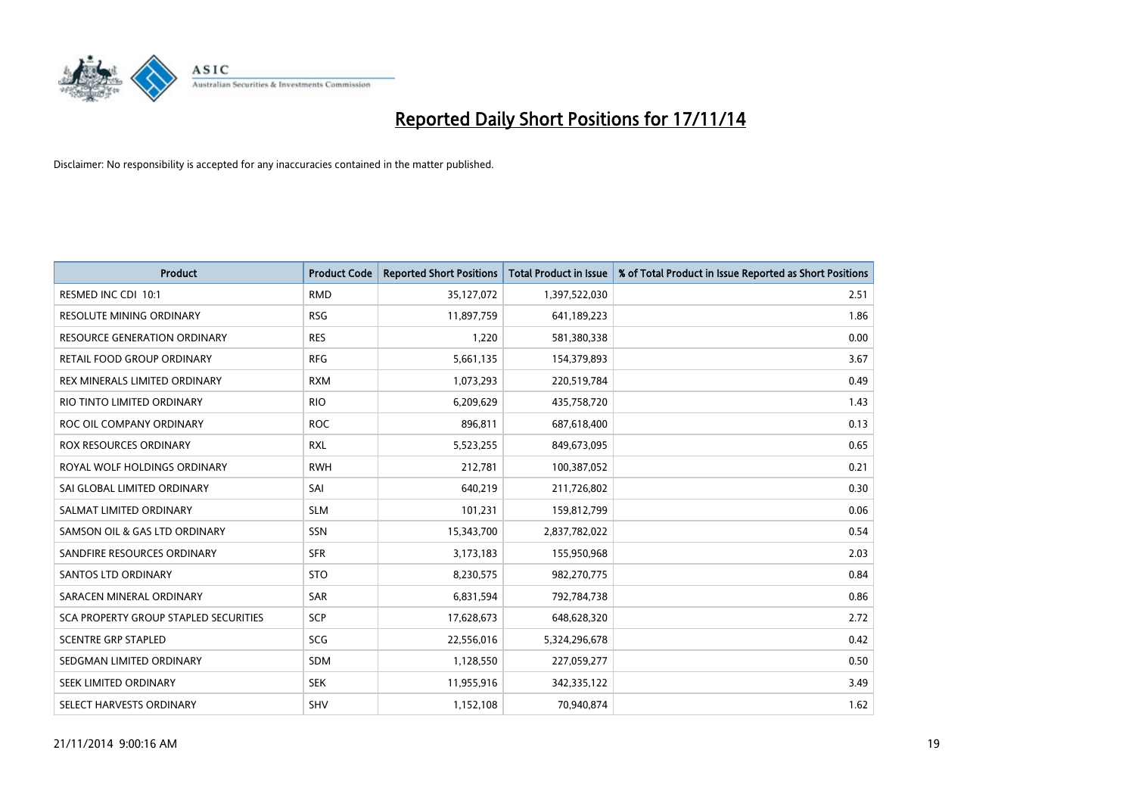

| <b>Product</b>                        | <b>Product Code</b> | <b>Reported Short Positions</b> | <b>Total Product in Issue</b> | % of Total Product in Issue Reported as Short Positions |
|---------------------------------------|---------------------|---------------------------------|-------------------------------|---------------------------------------------------------|
| RESMED INC CDI 10:1                   | <b>RMD</b>          | 35,127,072                      | 1,397,522,030                 | 2.51                                                    |
| RESOLUTE MINING ORDINARY              | <b>RSG</b>          | 11,897,759                      | 641,189,223                   | 1.86                                                    |
| RESOURCE GENERATION ORDINARY          | <b>RES</b>          | 1,220                           | 581,380,338                   | 0.00                                                    |
| RETAIL FOOD GROUP ORDINARY            | <b>RFG</b>          | 5,661,135                       | 154,379,893                   | 3.67                                                    |
| REX MINERALS LIMITED ORDINARY         | <b>RXM</b>          | 1,073,293                       | 220,519,784                   | 0.49                                                    |
| RIO TINTO LIMITED ORDINARY            | <b>RIO</b>          | 6,209,629                       | 435,758,720                   | 1.43                                                    |
| ROC OIL COMPANY ORDINARY              | <b>ROC</b>          | 896,811                         | 687,618,400                   | 0.13                                                    |
| ROX RESOURCES ORDINARY                | <b>RXL</b>          | 5,523,255                       | 849,673,095                   | 0.65                                                    |
| ROYAL WOLF HOLDINGS ORDINARY          | <b>RWH</b>          | 212,781                         | 100,387,052                   | 0.21                                                    |
| SAI GLOBAL LIMITED ORDINARY           | SAI                 | 640,219                         | 211,726,802                   | 0.30                                                    |
| SALMAT LIMITED ORDINARY               | <b>SLM</b>          | 101,231                         | 159,812,799                   | 0.06                                                    |
| SAMSON OIL & GAS LTD ORDINARY         | SSN                 | 15,343,700                      | 2,837,782,022                 | 0.54                                                    |
| SANDFIRE RESOURCES ORDINARY           | <b>SFR</b>          | 3,173,183                       | 155,950,968                   | 2.03                                                    |
| <b>SANTOS LTD ORDINARY</b>            | <b>STO</b>          | 8,230,575                       | 982,270,775                   | 0.84                                                    |
| SARACEN MINERAL ORDINARY              | SAR                 | 6,831,594                       | 792,784,738                   | 0.86                                                    |
| SCA PROPERTY GROUP STAPLED SECURITIES | SCP                 | 17,628,673                      | 648,628,320                   | 2.72                                                    |
| <b>SCENTRE GRP STAPLED</b>            | SCG                 | 22,556,016                      | 5,324,296,678                 | 0.42                                                    |
| SEDGMAN LIMITED ORDINARY              | <b>SDM</b>          | 1,128,550                       | 227,059,277                   | 0.50                                                    |
| SEEK LIMITED ORDINARY                 | <b>SEK</b>          | 11,955,916                      | 342,335,122                   | 3.49                                                    |
| SELECT HARVESTS ORDINARY              | <b>SHV</b>          | 1,152,108                       | 70,940,874                    | 1.62                                                    |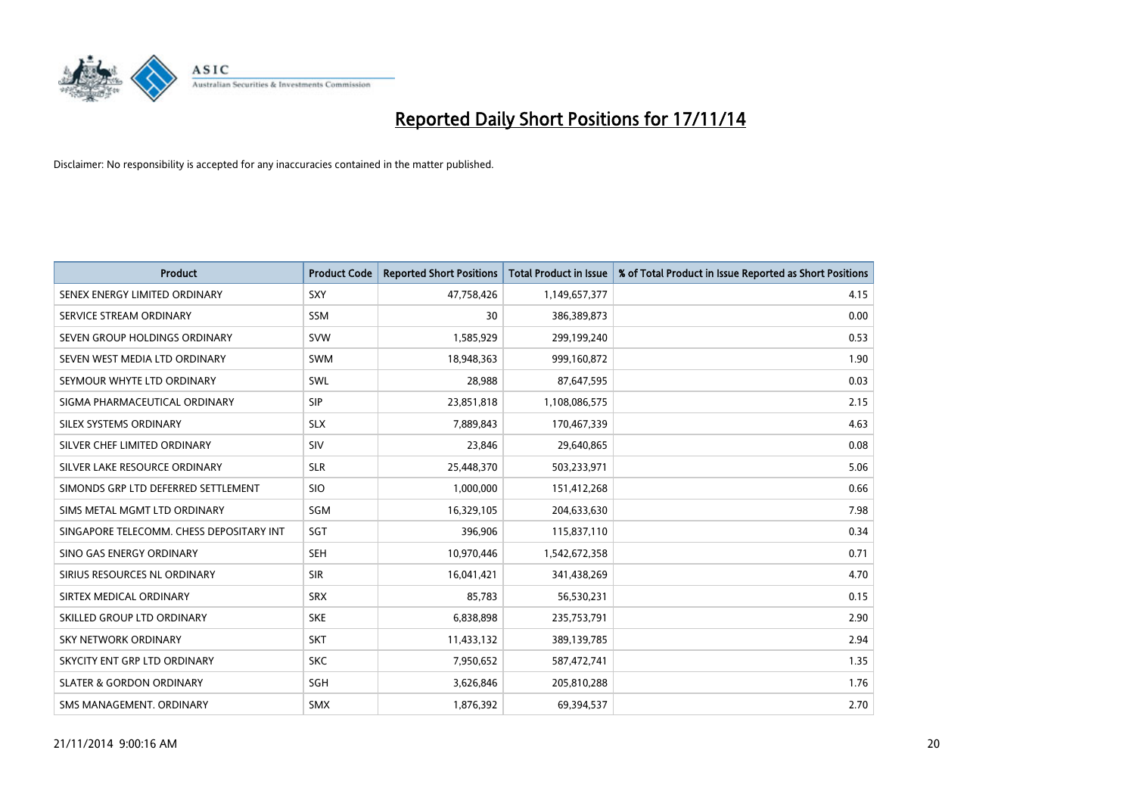

| <b>Product</b>                           | <b>Product Code</b> | <b>Reported Short Positions</b> | <b>Total Product in Issue</b> | % of Total Product in Issue Reported as Short Positions |
|------------------------------------------|---------------------|---------------------------------|-------------------------------|---------------------------------------------------------|
| SENEX ENERGY LIMITED ORDINARY            | SXY                 | 47,758,426                      | 1,149,657,377                 | 4.15                                                    |
| SERVICE STREAM ORDINARY                  | <b>SSM</b>          | 30                              | 386,389,873                   | 0.00                                                    |
| SEVEN GROUP HOLDINGS ORDINARY            | <b>SVW</b>          | 1,585,929                       | 299,199,240                   | 0.53                                                    |
| SEVEN WEST MEDIA LTD ORDINARY            | <b>SWM</b>          | 18,948,363                      | 999,160,872                   | 1.90                                                    |
| SEYMOUR WHYTE LTD ORDINARY               | <b>SWL</b>          | 28,988                          | 87,647,595                    | 0.03                                                    |
| SIGMA PHARMACEUTICAL ORDINARY            | <b>SIP</b>          | 23,851,818                      | 1,108,086,575                 | 2.15                                                    |
| SILEX SYSTEMS ORDINARY                   | <b>SLX</b>          | 7,889,843                       | 170,467,339                   | 4.63                                                    |
| SILVER CHEF LIMITED ORDINARY             | SIV                 | 23,846                          | 29,640,865                    | 0.08                                                    |
| SILVER LAKE RESOURCE ORDINARY            | <b>SLR</b>          | 25,448,370                      | 503,233,971                   | 5.06                                                    |
| SIMONDS GRP LTD DEFERRED SETTLEMENT      | <b>SIO</b>          | 1,000,000                       | 151,412,268                   | 0.66                                                    |
| SIMS METAL MGMT LTD ORDINARY             | SGM                 | 16,329,105                      | 204,633,630                   | 7.98                                                    |
| SINGAPORE TELECOMM. CHESS DEPOSITARY INT | SGT                 | 396,906                         | 115,837,110                   | 0.34                                                    |
| SINO GAS ENERGY ORDINARY                 | <b>SEH</b>          | 10,970,446                      | 1,542,672,358                 | 0.71                                                    |
| SIRIUS RESOURCES NL ORDINARY             | <b>SIR</b>          | 16,041,421                      | 341,438,269                   | 4.70                                                    |
| SIRTEX MEDICAL ORDINARY                  | <b>SRX</b>          | 85,783                          | 56,530,231                    | 0.15                                                    |
| SKILLED GROUP LTD ORDINARY               | <b>SKE</b>          | 6,838,898                       | 235,753,791                   | 2.90                                                    |
| SKY NETWORK ORDINARY                     | <b>SKT</b>          | 11,433,132                      | 389,139,785                   | 2.94                                                    |
| SKYCITY ENT GRP LTD ORDINARY             | <b>SKC</b>          | 7,950,652                       | 587,472,741                   | 1.35                                                    |
| <b>SLATER &amp; GORDON ORDINARY</b>      | SGH                 | 3,626,846                       | 205,810,288                   | 1.76                                                    |
| SMS MANAGEMENT, ORDINARY                 | <b>SMX</b>          | 1,876,392                       | 69,394,537                    | 2.70                                                    |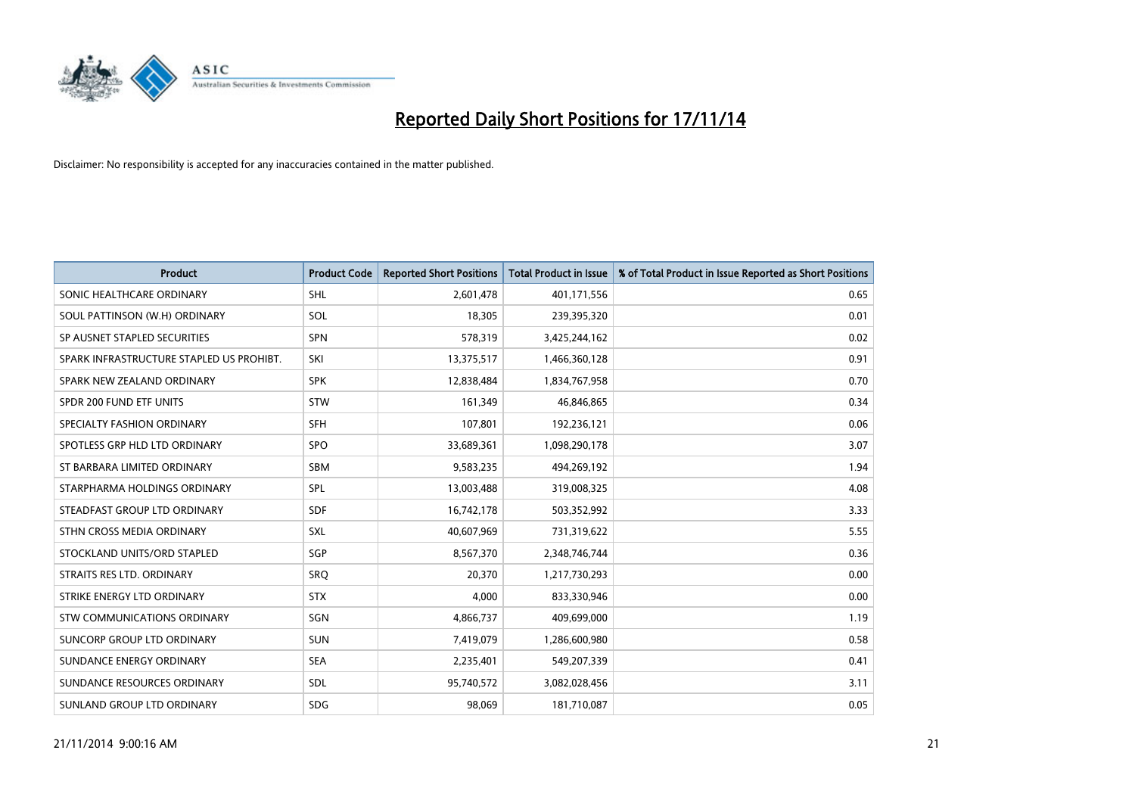

| <b>Product</b>                           | <b>Product Code</b> | <b>Reported Short Positions</b> | <b>Total Product in Issue</b> | % of Total Product in Issue Reported as Short Positions |
|------------------------------------------|---------------------|---------------------------------|-------------------------------|---------------------------------------------------------|
| SONIC HEALTHCARE ORDINARY                | <b>SHL</b>          | 2,601,478                       | 401,171,556                   | 0.65                                                    |
| SOUL PATTINSON (W.H) ORDINARY            | SOL                 | 18,305                          | 239,395,320                   | 0.01                                                    |
| SP AUSNET STAPLED SECURITIES             | SPN                 | 578,319                         | 3,425,244,162                 | 0.02                                                    |
| SPARK INFRASTRUCTURE STAPLED US PROHIBT. | SKI                 | 13,375,517                      | 1,466,360,128                 | 0.91                                                    |
| SPARK NEW ZEALAND ORDINARY               | <b>SPK</b>          | 12,838,484                      | 1,834,767,958                 | 0.70                                                    |
| SPDR 200 FUND ETF UNITS                  | STW                 | 161,349                         | 46,846,865                    | 0.34                                                    |
| SPECIALTY FASHION ORDINARY               | <b>SFH</b>          | 107,801                         | 192,236,121                   | 0.06                                                    |
| SPOTLESS GRP HLD LTD ORDINARY            | <b>SPO</b>          | 33,689,361                      | 1,098,290,178                 | 3.07                                                    |
| ST BARBARA LIMITED ORDINARY              | <b>SBM</b>          | 9,583,235                       | 494,269,192                   | 1.94                                                    |
| STARPHARMA HOLDINGS ORDINARY             | <b>SPL</b>          | 13,003,488                      | 319,008,325                   | 4.08                                                    |
| STEADFAST GROUP LTD ORDINARY             | <b>SDF</b>          | 16,742,178                      | 503,352,992                   | 3.33                                                    |
| STHN CROSS MEDIA ORDINARY                | <b>SXL</b>          | 40,607,969                      | 731,319,622                   | 5.55                                                    |
| STOCKLAND UNITS/ORD STAPLED              | SGP                 | 8,567,370                       | 2,348,746,744                 | 0.36                                                    |
| STRAITS RES LTD. ORDINARY                | SRO                 | 20,370                          | 1,217,730,293                 | 0.00                                                    |
| STRIKE ENERGY LTD ORDINARY               | <b>STX</b>          | 4,000                           | 833,330,946                   | 0.00                                                    |
| STW COMMUNICATIONS ORDINARY              | SGN                 | 4,866,737                       | 409,699,000                   | 1.19                                                    |
| SUNCORP GROUP LTD ORDINARY               | <b>SUN</b>          | 7,419,079                       | 1,286,600,980                 | 0.58                                                    |
| SUNDANCE ENERGY ORDINARY                 | <b>SEA</b>          | 2,235,401                       | 549,207,339                   | 0.41                                                    |
| SUNDANCE RESOURCES ORDINARY              | SDL                 | 95,740,572                      | 3,082,028,456                 | 3.11                                                    |
| SUNLAND GROUP LTD ORDINARY               | <b>SDG</b>          | 98,069                          | 181,710,087                   | 0.05                                                    |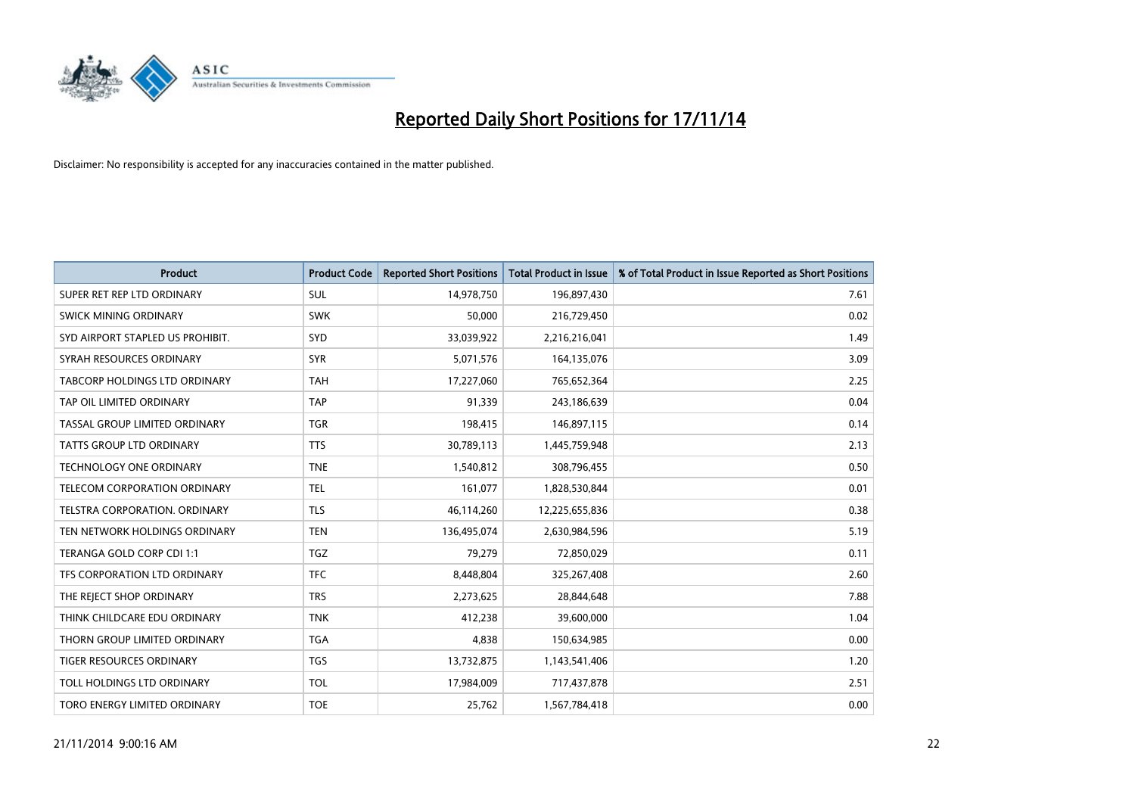

| <b>Product</b>                   | <b>Product Code</b> | <b>Reported Short Positions</b> | <b>Total Product in Issue</b> | % of Total Product in Issue Reported as Short Positions |
|----------------------------------|---------------------|---------------------------------|-------------------------------|---------------------------------------------------------|
| SUPER RET REP LTD ORDINARY       | <b>SUL</b>          | 14,978,750                      | 196,897,430                   | 7.61                                                    |
| SWICK MINING ORDINARY            | <b>SWK</b>          | 50,000                          | 216,729,450                   | 0.02                                                    |
| SYD AIRPORT STAPLED US PROHIBIT. | <b>SYD</b>          | 33,039,922                      | 2,216,216,041                 | 1.49                                                    |
| SYRAH RESOURCES ORDINARY         | <b>SYR</b>          | 5,071,576                       | 164,135,076                   | 3.09                                                    |
| TABCORP HOLDINGS LTD ORDINARY    | <b>TAH</b>          | 17,227,060                      | 765,652,364                   | 2.25                                                    |
| TAP OIL LIMITED ORDINARY         | <b>TAP</b>          | 91,339                          | 243,186,639                   | 0.04                                                    |
| TASSAL GROUP LIMITED ORDINARY    | TGR                 | 198,415                         | 146,897,115                   | 0.14                                                    |
| TATTS GROUP LTD ORDINARY         | <b>TTS</b>          | 30,789,113                      | 1,445,759,948                 | 2.13                                                    |
| <b>TECHNOLOGY ONE ORDINARY</b>   | <b>TNE</b>          | 1,540,812                       | 308,796,455                   | 0.50                                                    |
| TELECOM CORPORATION ORDINARY     | <b>TEL</b>          | 161,077                         | 1,828,530,844                 | 0.01                                                    |
| TELSTRA CORPORATION. ORDINARY    | <b>TLS</b>          | 46,114,260                      | 12,225,655,836                | 0.38                                                    |
| TEN NETWORK HOLDINGS ORDINARY    | <b>TEN</b>          | 136,495,074                     | 2,630,984,596                 | 5.19                                                    |
| TERANGA GOLD CORP CDI 1:1        | TGZ                 | 79,279                          | 72,850,029                    | 0.11                                                    |
| TFS CORPORATION LTD ORDINARY     | <b>TFC</b>          | 8,448,804                       | 325,267,408                   | 2.60                                                    |
| THE REJECT SHOP ORDINARY         | <b>TRS</b>          | 2,273,625                       | 28,844,648                    | 7.88                                                    |
| THINK CHILDCARE EDU ORDINARY     | <b>TNK</b>          | 412,238                         | 39,600,000                    | 1.04                                                    |
| THORN GROUP LIMITED ORDINARY     | <b>TGA</b>          | 4,838                           | 150,634,985                   | 0.00                                                    |
| TIGER RESOURCES ORDINARY         | <b>TGS</b>          | 13,732,875                      | 1,143,541,406                 | 1.20                                                    |
| TOLL HOLDINGS LTD ORDINARY       | <b>TOL</b>          | 17,984,009                      | 717,437,878                   | 2.51                                                    |
| TORO ENERGY LIMITED ORDINARY     | <b>TOE</b>          | 25,762                          | 1,567,784,418                 | 0.00                                                    |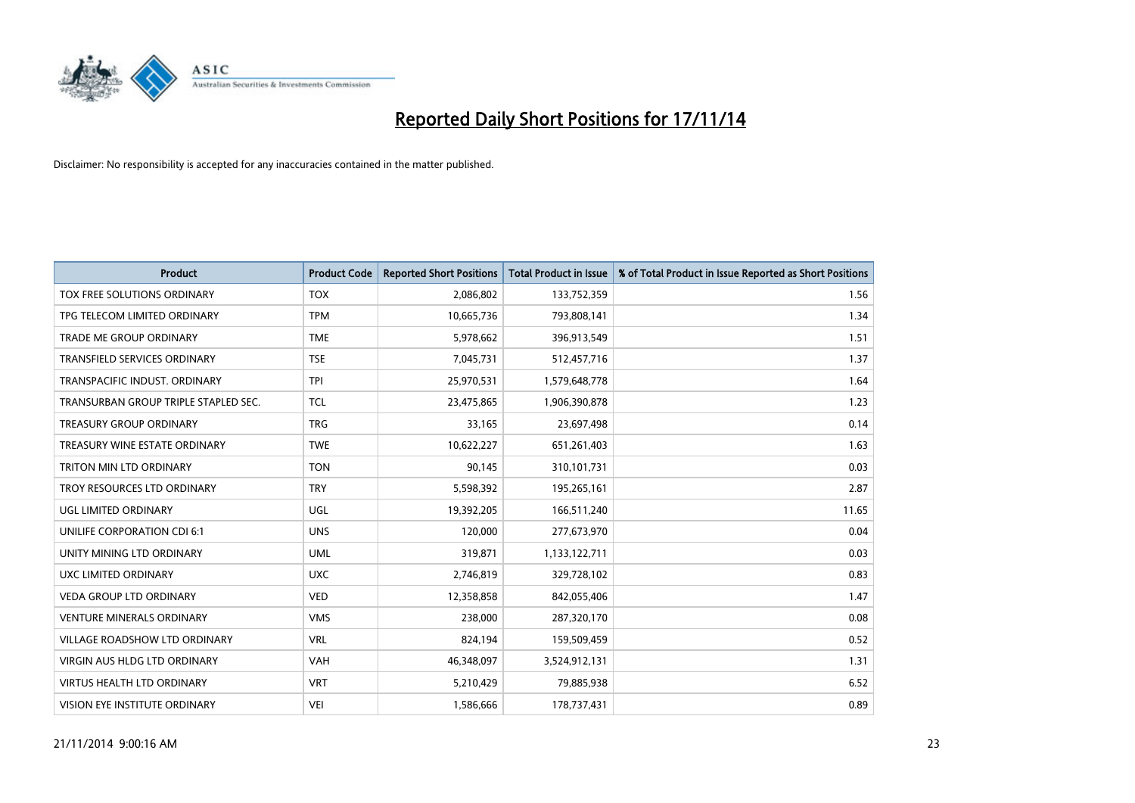

| Product                              | <b>Product Code</b> | <b>Reported Short Positions</b> | <b>Total Product in Issue</b> | % of Total Product in Issue Reported as Short Positions |
|--------------------------------------|---------------------|---------------------------------|-------------------------------|---------------------------------------------------------|
| TOX FREE SOLUTIONS ORDINARY          | <b>TOX</b>          | 2,086,802                       | 133,752,359                   | 1.56                                                    |
| TPG TELECOM LIMITED ORDINARY         | <b>TPM</b>          | 10,665,736                      | 793,808,141                   | 1.34                                                    |
| <b>TRADE ME GROUP ORDINARY</b>       | <b>TME</b>          | 5,978,662                       | 396,913,549                   | 1.51                                                    |
| TRANSFIELD SERVICES ORDINARY         | <b>TSE</b>          | 7,045,731                       | 512,457,716                   | 1.37                                                    |
| TRANSPACIFIC INDUST, ORDINARY        | <b>TPI</b>          | 25,970,531                      | 1,579,648,778                 | 1.64                                                    |
| TRANSURBAN GROUP TRIPLE STAPLED SEC. | <b>TCL</b>          | 23,475,865                      | 1,906,390,878                 | 1.23                                                    |
| <b>TREASURY GROUP ORDINARY</b>       | <b>TRG</b>          | 33,165                          | 23,697,498                    | 0.14                                                    |
| TREASURY WINE ESTATE ORDINARY        | <b>TWE</b>          | 10,622,227                      | 651,261,403                   | 1.63                                                    |
| TRITON MIN LTD ORDINARY              | <b>TON</b>          | 90,145                          | 310,101,731                   | 0.03                                                    |
| TROY RESOURCES LTD ORDINARY          | <b>TRY</b>          | 5,598,392                       | 195,265,161                   | 2.87                                                    |
| UGL LIMITED ORDINARY                 | UGL                 | 19,392,205                      | 166,511,240                   | 11.65                                                   |
| UNILIFE CORPORATION CDI 6:1          | <b>UNS</b>          | 120,000                         | 277,673,970                   | 0.04                                                    |
| UNITY MINING LTD ORDINARY            | <b>UML</b>          | 319,871                         | 1,133,122,711                 | 0.03                                                    |
| UXC LIMITED ORDINARY                 | <b>UXC</b>          | 2,746,819                       | 329,728,102                   | 0.83                                                    |
| <b>VEDA GROUP LTD ORDINARY</b>       | <b>VED</b>          | 12,358,858                      | 842,055,406                   | 1.47                                                    |
| <b>VENTURE MINERALS ORDINARY</b>     | <b>VMS</b>          | 238,000                         | 287,320,170                   | 0.08                                                    |
| VILLAGE ROADSHOW LTD ORDINARY        | <b>VRL</b>          | 824,194                         | 159,509,459                   | 0.52                                                    |
| VIRGIN AUS HLDG LTD ORDINARY         | <b>VAH</b>          | 46,348,097                      | 3,524,912,131                 | 1.31                                                    |
| <b>VIRTUS HEALTH LTD ORDINARY</b>    | <b>VRT</b>          | 5,210,429                       | 79,885,938                    | 6.52                                                    |
| VISION EYE INSTITUTE ORDINARY        | <b>VEI</b>          | 1,586,666                       | 178,737,431                   | 0.89                                                    |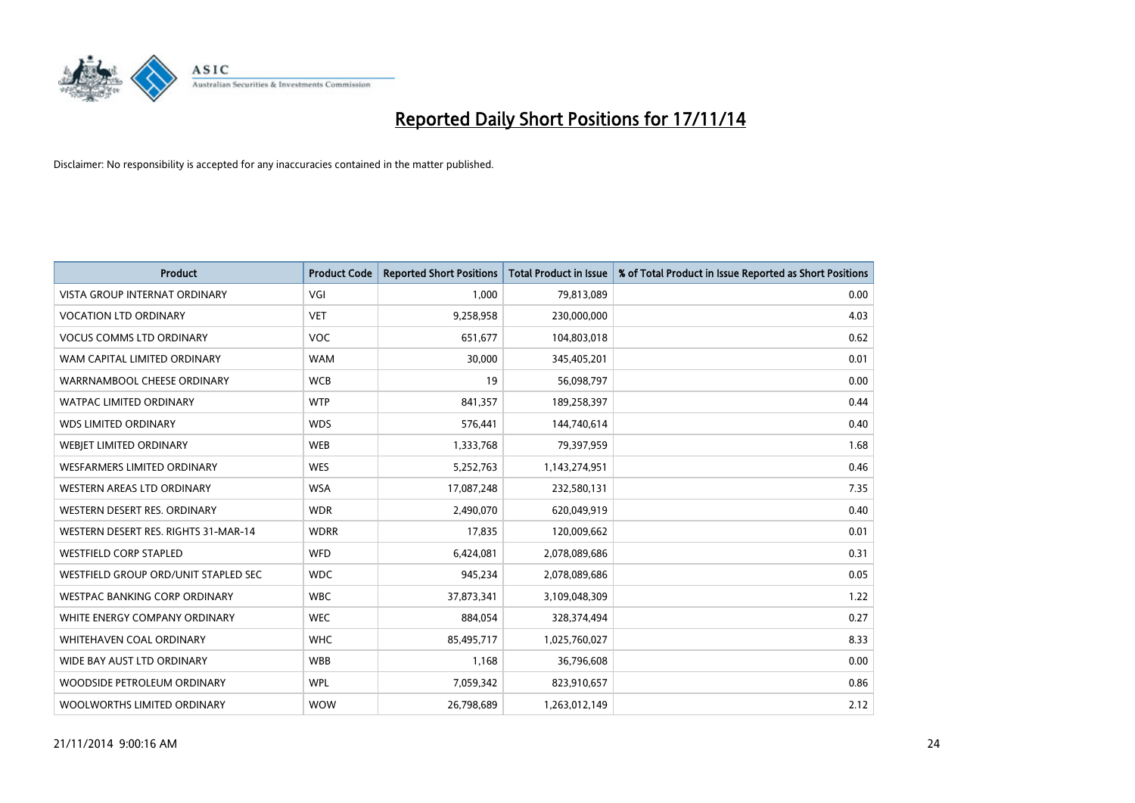

| <b>Product</b>                       | <b>Product Code</b> | <b>Reported Short Positions</b> | <b>Total Product in Issue</b> | % of Total Product in Issue Reported as Short Positions |
|--------------------------------------|---------------------|---------------------------------|-------------------------------|---------------------------------------------------------|
| <b>VISTA GROUP INTERNAT ORDINARY</b> | VGI                 | 1.000                           | 79,813,089                    | 0.00                                                    |
| <b>VOCATION LTD ORDINARY</b>         | <b>VET</b>          | 9,258,958                       | 230,000,000                   | 4.03                                                    |
| <b>VOCUS COMMS LTD ORDINARY</b>      | <b>VOC</b>          | 651,677                         | 104,803,018                   | 0.62                                                    |
| WAM CAPITAL LIMITED ORDINARY         | <b>WAM</b>          | 30,000                          | 345,405,201                   | 0.01                                                    |
| WARRNAMBOOL CHEESE ORDINARY          | <b>WCB</b>          | 19                              | 56,098,797                    | 0.00                                                    |
| <b>WATPAC LIMITED ORDINARY</b>       | <b>WTP</b>          | 841,357                         | 189,258,397                   | 0.44                                                    |
| <b>WDS LIMITED ORDINARY</b>          | <b>WDS</b>          | 576,441                         | 144,740,614                   | 0.40                                                    |
| WEBIET LIMITED ORDINARY              | <b>WEB</b>          | 1,333,768                       | 79,397,959                    | 1.68                                                    |
| WESFARMERS LIMITED ORDINARY          | <b>WES</b>          | 5,252,763                       | 1,143,274,951                 | 0.46                                                    |
| WESTERN AREAS LTD ORDINARY           | <b>WSA</b>          | 17,087,248                      | 232,580,131                   | 7.35                                                    |
| WESTERN DESERT RES. ORDINARY         | <b>WDR</b>          | 2,490,070                       | 620,049,919                   | 0.40                                                    |
| WESTERN DESERT RES. RIGHTS 31-MAR-14 | <b>WDRR</b>         | 17,835                          | 120,009,662                   | 0.01                                                    |
| <b>WESTFIELD CORP STAPLED</b>        | WFD                 | 6,424,081                       | 2,078,089,686                 | 0.31                                                    |
| WESTFIELD GROUP ORD/UNIT STAPLED SEC | <b>WDC</b>          | 945,234                         | 2,078,089,686                 | 0.05                                                    |
| <b>WESTPAC BANKING CORP ORDINARY</b> | <b>WBC</b>          | 37,873,341                      | 3,109,048,309                 | 1.22                                                    |
| WHITE ENERGY COMPANY ORDINARY        | <b>WEC</b>          | 884,054                         | 328,374,494                   | 0.27                                                    |
| WHITEHAVEN COAL ORDINARY             | <b>WHC</b>          | 85,495,717                      | 1,025,760,027                 | 8.33                                                    |
| WIDE BAY AUST LTD ORDINARY           | <b>WBB</b>          | 1,168                           | 36,796,608                    | 0.00                                                    |
| WOODSIDE PETROLEUM ORDINARY          | <b>WPL</b>          | 7,059,342                       | 823,910,657                   | 0.86                                                    |
| WOOLWORTHS LIMITED ORDINARY          | <b>WOW</b>          | 26,798,689                      | 1,263,012,149                 | 2.12                                                    |